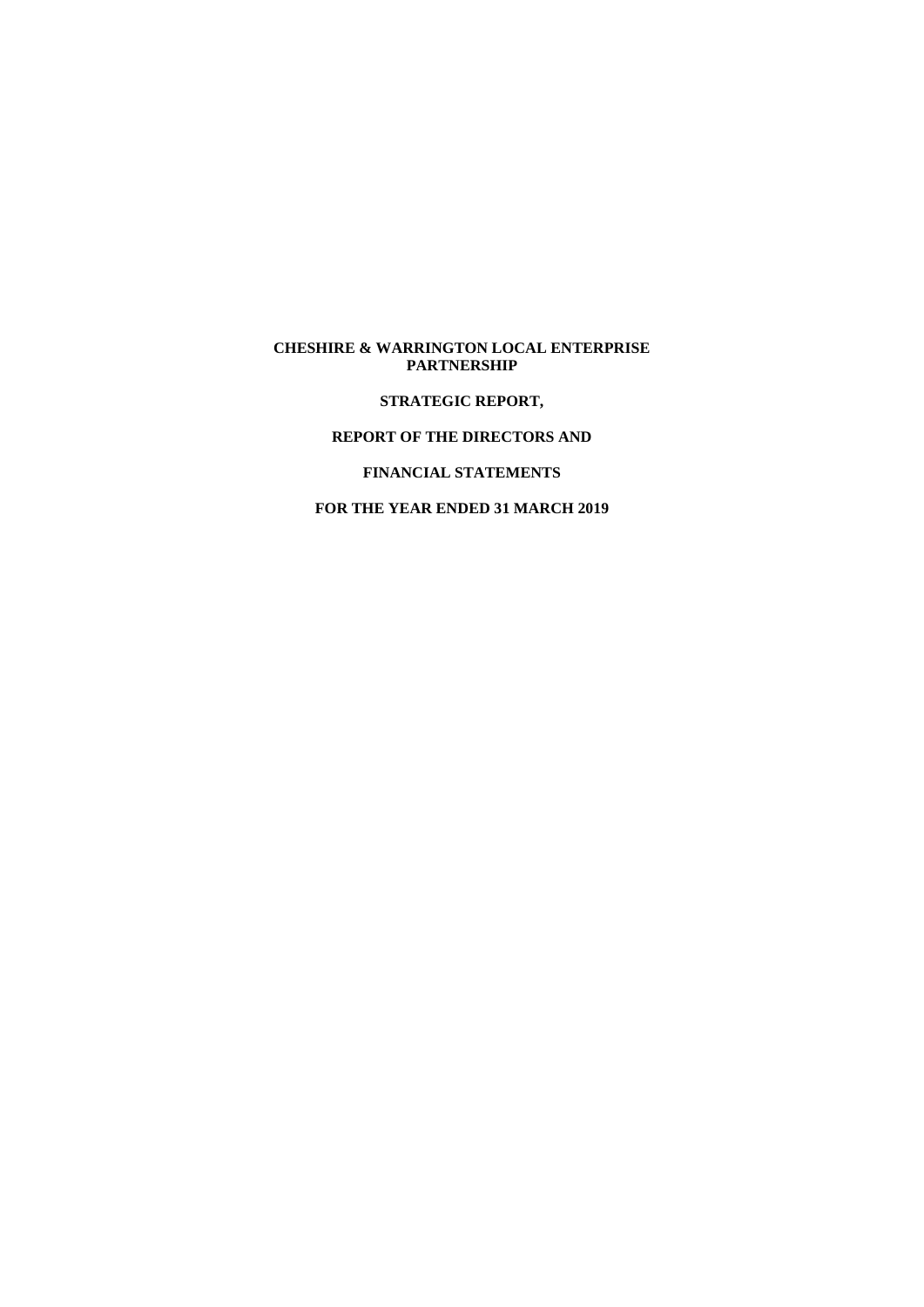## **CHESHIRE & WARRINGTON LOCAL ENTERPRISE PARTNERSHIP**

**STRATEGIC REPORT,**

## **REPORT OF THE DIRECTORS AND**

**FINANCIAL STATEMENTS**

**FOR THE YEAR ENDED 31 MARCH 2019**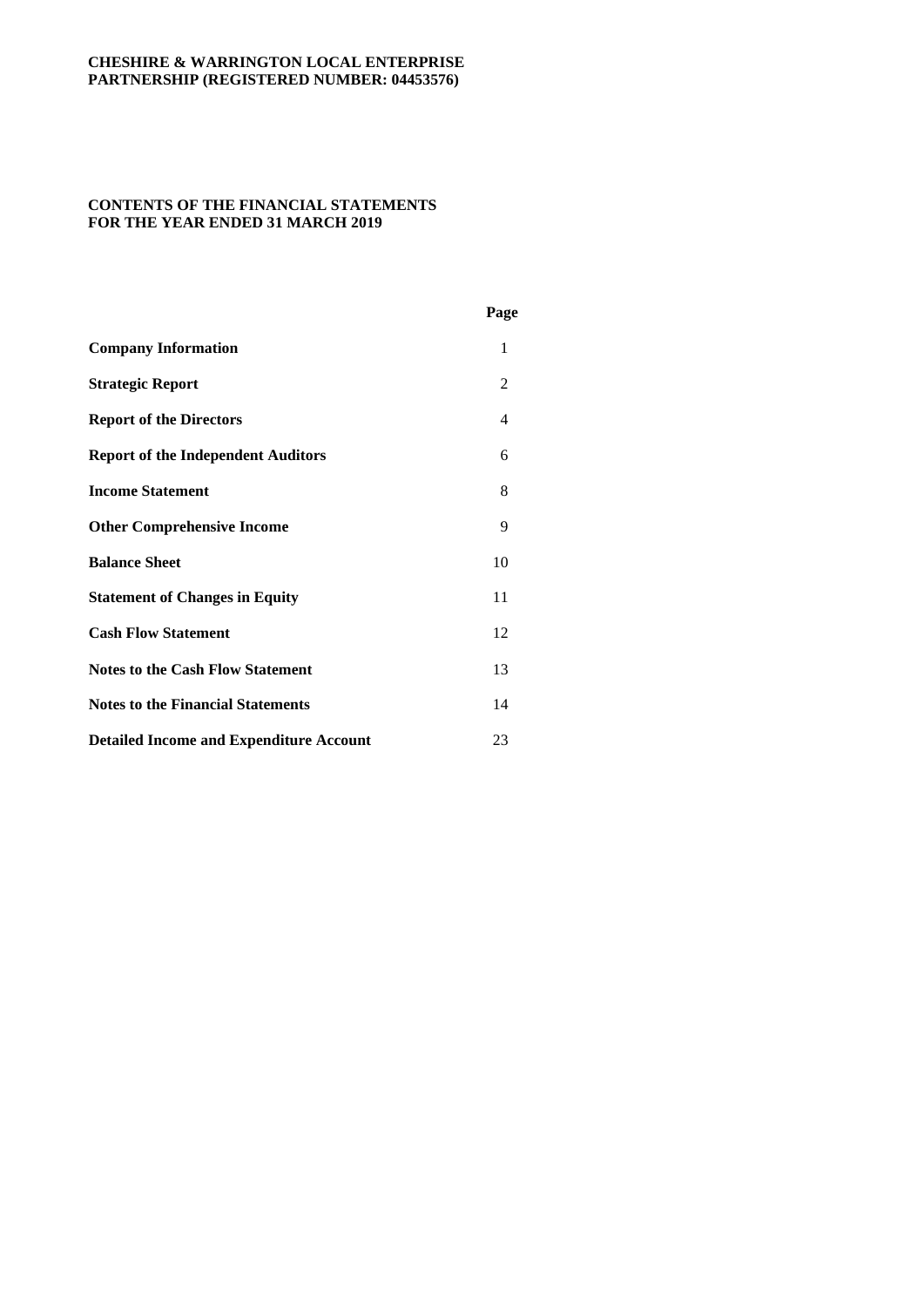## **CONTENTS OF THE FINANCIAL STATEMENTS FOR THE YEAR ENDED 31 MARCH 2019**

|                                                | Page           |
|------------------------------------------------|----------------|
| <b>Company Information</b>                     | 1              |
| <b>Strategic Report</b>                        | $\mathfrak{D}$ |
| <b>Report of the Directors</b>                 | 4              |
| <b>Report of the Independent Auditors</b>      | 6              |
| <b>Income Statement</b>                        | 8              |
| <b>Other Comprehensive Income</b>              | 9              |
| <b>Balance Sheet</b>                           | 10             |
| <b>Statement of Changes in Equity</b>          | 11             |
| <b>Cash Flow Statement</b>                     | 12             |
| <b>Notes to the Cash Flow Statement</b>        | 13             |
| <b>Notes to the Financial Statements</b>       | 14             |
| <b>Detailed Income and Expenditure Account</b> | 23             |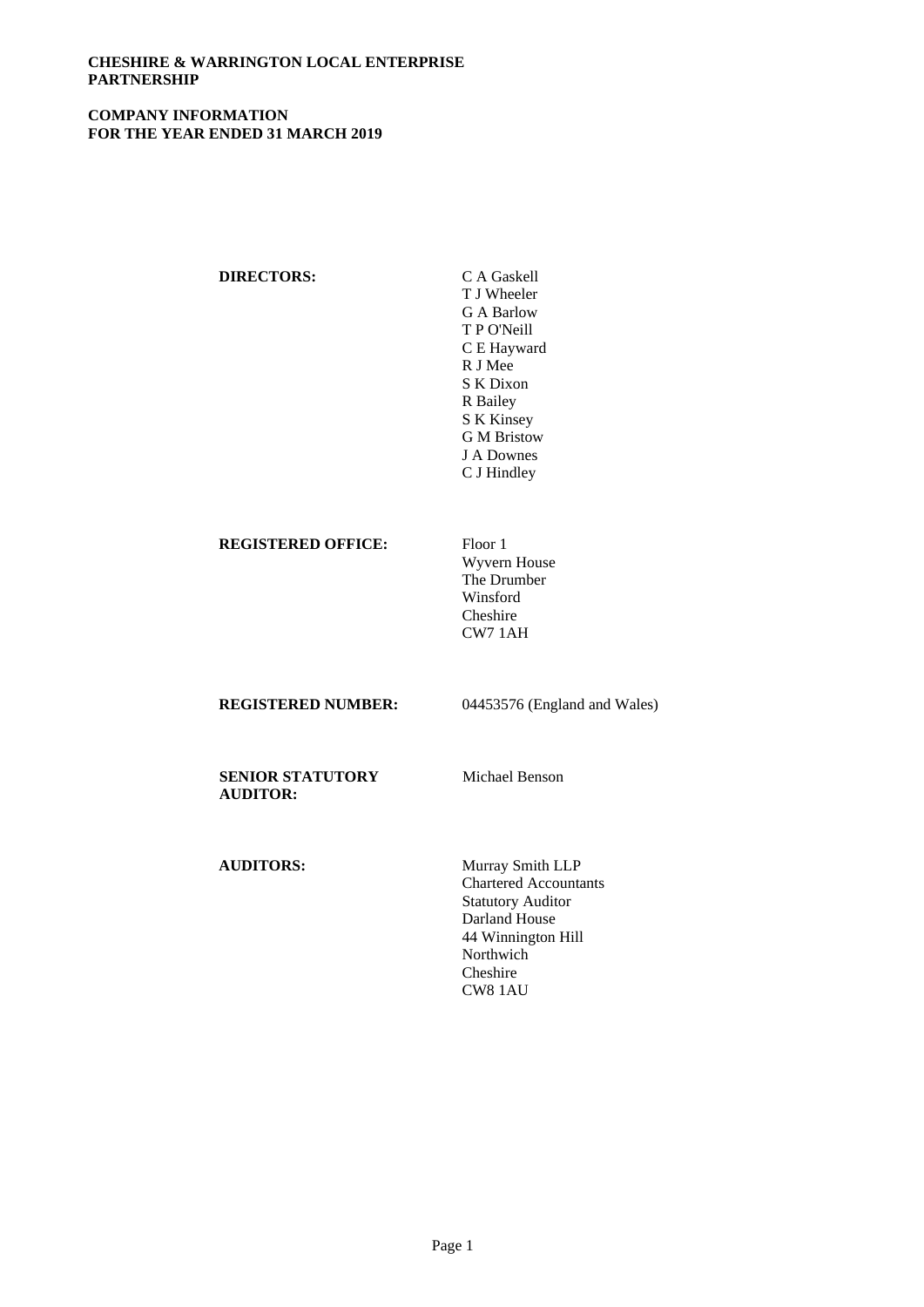## **COMPANY INFORMATION FOR THE YEAR ENDED 31 MARCH 2019**

| <b>DIRECTORS:</b>         | C A Gaskell<br>T J Wheeler<br>G A Barlow<br>T P O'Neill<br>C E Hayward<br>R J Mee<br>S K Dixon<br>R Bailey<br>S K Kinsey |
|---------------------------|--------------------------------------------------------------------------------------------------------------------------|
|                           | J A Downes<br>C J Hindley                                                                                                |
| <b>REGISTERED OFFICE:</b> | Floor 1                                                                                                                  |

Wyvern House The Drumber Winsford Cheshire CW7 1AH

**REGISTERED NUMBER:** 04453576 (England and Wales)

**SENIOR STATUTORY AUDITOR:**

Michael Benson

**AUDITORS:** Murray Smith LLP

Chartered Accountants Statutory Auditor Darland House 44 Winnington Hill Northwich Cheshire CW8 1AU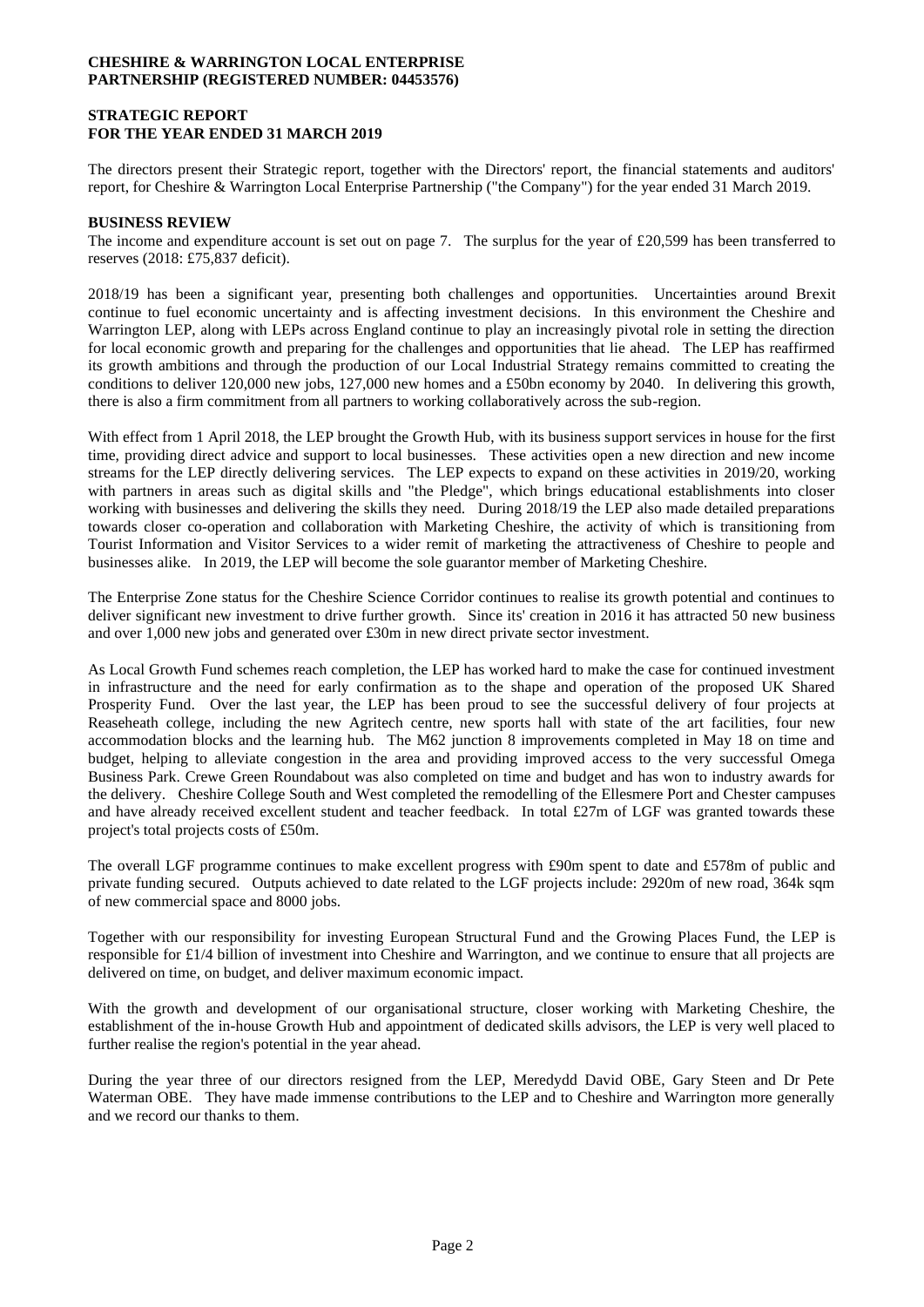### **STRATEGIC REPORT FOR THE YEAR ENDED 31 MARCH 2019**

The directors present their Strategic report, together with the Directors' report, the financial statements and auditors' report, for Cheshire & Warrington Local Enterprise Partnership ("the Company") for the year ended 31 March 2019.

### **BUSINESS REVIEW**

The income and expenditure account is set out on page 7. The surplus for the year of £20,599 has been transferred to reserves (2018: £75,837 deficit).

2018/19 has been a significant year, presenting both challenges and opportunities. Uncertainties around Brexit continue to fuel economic uncertainty and is affecting investment decisions. In this environment the Cheshire and Warrington LEP, along with LEPs across England continue to play an increasingly pivotal role in setting the direction for local economic growth and preparing for the challenges and opportunities that lie ahead. The LEP has reaffirmed its growth ambitions and through the production of our Local Industrial Strategy remains committed to creating the conditions to deliver 120,000 new jobs, 127,000 new homes and a £50bn economy by 2040. In delivering this growth, there is also a firm commitment from all partners to working collaboratively across the sub-region.

With effect from 1 April 2018, the LEP brought the Growth Hub, with its business support services in house for the first time, providing direct advice and support to local businesses. These activities open a new direction and new income streams for the LEP directly delivering services. The LEP expects to expand on these activities in 2019/20, working with partners in areas such as digital skills and "the Pledge", which brings educational establishments into closer working with businesses and delivering the skills they need. During 2018/19 the LEP also made detailed preparations towards closer co-operation and collaboration with Marketing Cheshire, the activity of which is transitioning from Tourist Information and Visitor Services to a wider remit of marketing the attractiveness of Cheshire to people and businesses alike. In 2019, the LEP will become the sole guarantor member of Marketing Cheshire.

The Enterprise Zone status for the Cheshire Science Corridor continues to realise its growth potential and continues to deliver significant new investment to drive further growth. Since its' creation in 2016 it has attracted 50 new business and over 1,000 new jobs and generated over £30m in new direct private sector investment.

As Local Growth Fund schemes reach completion, the LEP has worked hard to make the case for continued investment in infrastructure and the need for early confirmation as to the shape and operation of the proposed UK Shared Prosperity Fund. Over the last year, the LEP has been proud to see the successful delivery of four projects at Reaseheath college, including the new Agritech centre, new sports hall with state of the art facilities, four new accommodation blocks and the learning hub. The M62 junction 8 improvements completed in May 18 on time and budget, helping to alleviate congestion in the area and providing improved access to the very successful Omega Business Park. Crewe Green Roundabout was also completed on time and budget and has won to industry awards for the delivery. Cheshire College South and West completed the remodelling of the Ellesmere Port and Chester campuses and have already received excellent student and teacher feedback. In total £27m of LGF was granted towards these project's total projects costs of £50m.

The overall LGF programme continues to make excellent progress with £90m spent to date and £578m of public and private funding secured. Outputs achieved to date related to the LGF projects include: 2920m of new road, 364k sqm of new commercial space and 8000 jobs.

Together with our responsibility for investing European Structural Fund and the Growing Places Fund, the LEP is responsible for £1/4 billion of investment into Cheshire and Warrington, and we continue to ensure that all projects are delivered on time, on budget, and deliver maximum economic impact.

With the growth and development of our organisational structure, closer working with Marketing Cheshire, the establishment of the in-house Growth Hub and appointment of dedicated skills advisors, the LEP is very well placed to further realise the region's potential in the year ahead.

During the year three of our directors resigned from the LEP, Meredydd David OBE, Gary Steen and Dr Pete Waterman OBE. They have made immense contributions to the LEP and to Cheshire and Warrington more generally and we record our thanks to them.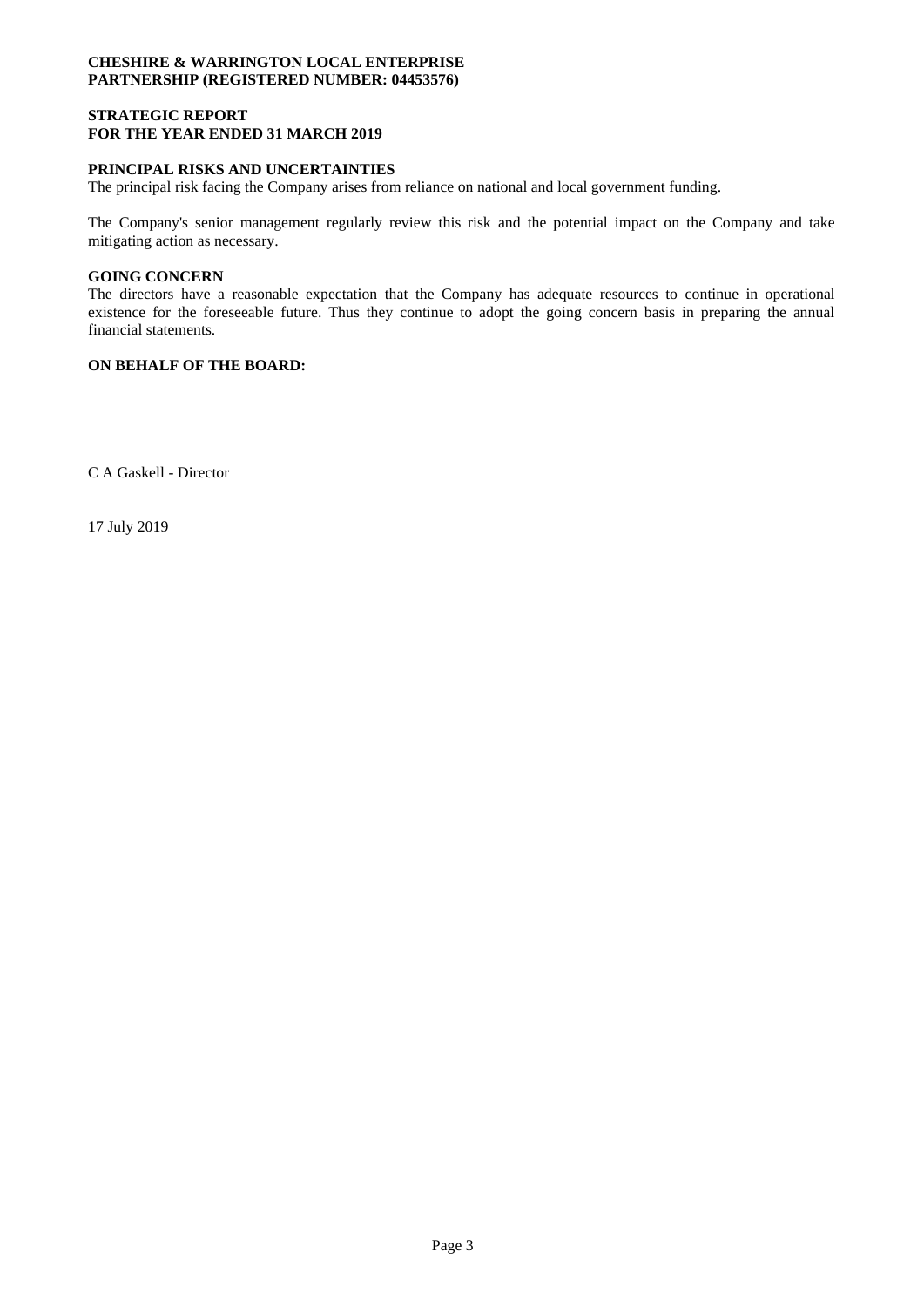### **STRATEGIC REPORT FOR THE YEAR ENDED 31 MARCH 2019**

## **PRINCIPAL RISKS AND UNCERTAINTIES**

The principal risk facing the Company arises from reliance on national and local government funding.

The Company's senior management regularly review this risk and the potential impact on the Company and take mitigating action as necessary.

### **GOING CONCERN**

The directors have a reasonable expectation that the Company has adequate resources to continue in operational existence for the foreseeable future. Thus they continue to adopt the going concern basis in preparing the annual financial statements.

## **ON BEHALF OF THE BOARD:**

C A Gaskell - Director

17 July 2019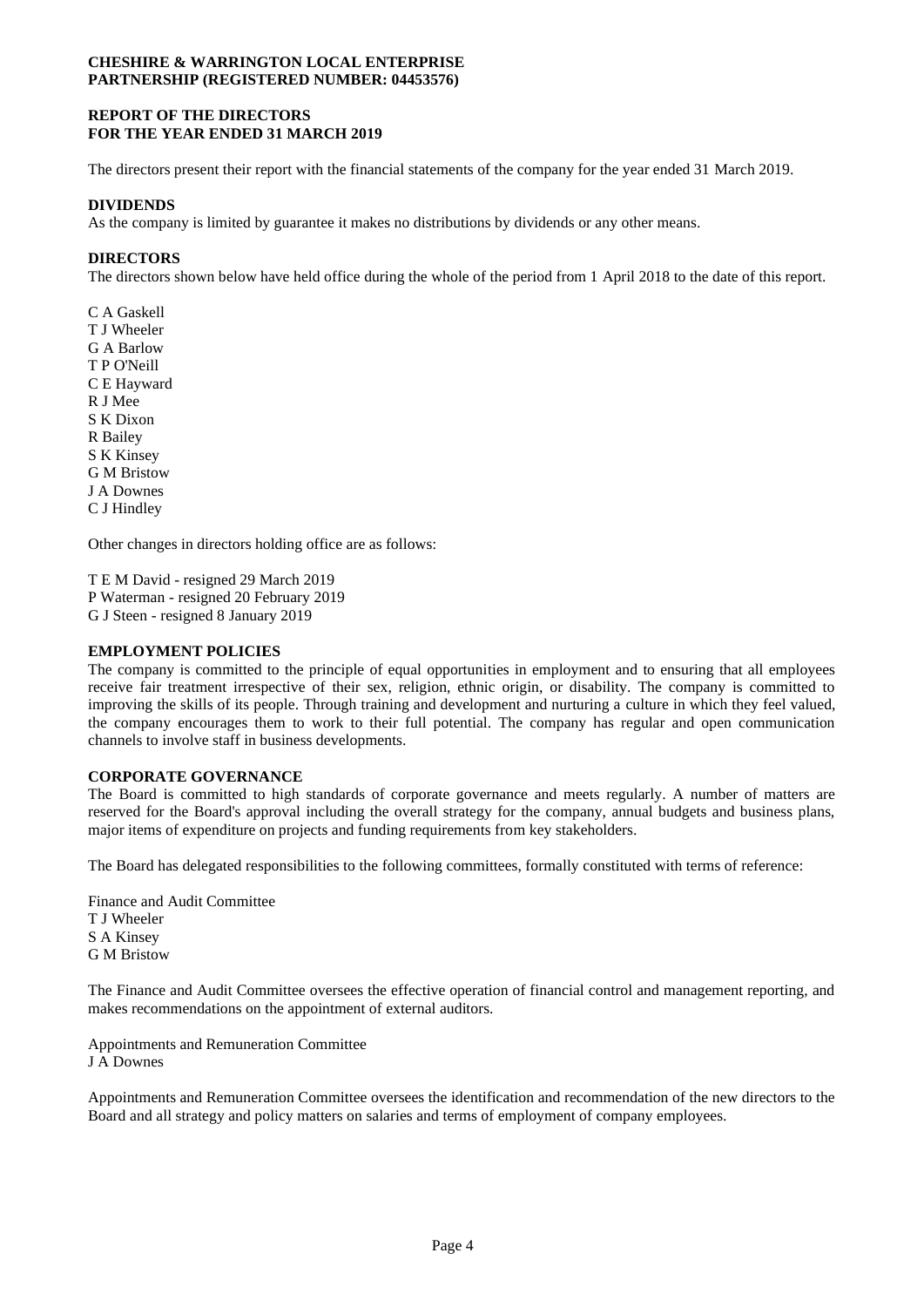### **REPORT OF THE DIRECTORS FOR THE YEAR ENDED 31 MARCH 2019**

The directors present their report with the financial statements of the company for the year ended 31 March 2019.

## **DIVIDENDS**

As the company is limited by guarantee it makes no distributions by dividends or any other means.

### **DIRECTORS**

The directors shown below have held office during the whole of the period from 1 April 2018 to the date of this report.

C A Gaskell T J Wheeler G A Barlow T P O'Neill C E Hayward R J Mee S K Dixon R Bailey S K Kinsey G M Bristow J A Downes C J Hindley

Other changes in directors holding office are as follows:

T E M David - resigned 29 March 2019 P Waterman - resigned 20 February 2019 G J Steen - resigned 8 January 2019

#### **EMPLOYMENT POLICIES**

The company is committed to the principle of equal opportunities in employment and to ensuring that all employees receive fair treatment irrespective of their sex, religion, ethnic origin, or disability. The company is committed to improving the skills of its people. Through training and development and nurturing a culture in which they feel valued, the company encourages them to work to their full potential. The company has regular and open communication channels to involve staff in business developments.

### **CORPORATE GOVERNANCE**

The Board is committed to high standards of corporate governance and meets regularly. A number of matters are reserved for the Board's approval including the overall strategy for the company, annual budgets and business plans, major items of expenditure on projects and funding requirements from key stakeholders.

The Board has delegated responsibilities to the following committees, formally constituted with terms of reference:

Finance and Audit Committee T J Wheeler S A Kinsey G M Bristow

The Finance and Audit Committee oversees the effective operation of financial control and management reporting, and makes recommendations on the appointment of external auditors.

Appointments and Remuneration Committee J A Downes

Appointments and Remuneration Committee oversees the identification and recommendation of the new directors to the Board and all strategy and policy matters on salaries and terms of employment of company employees.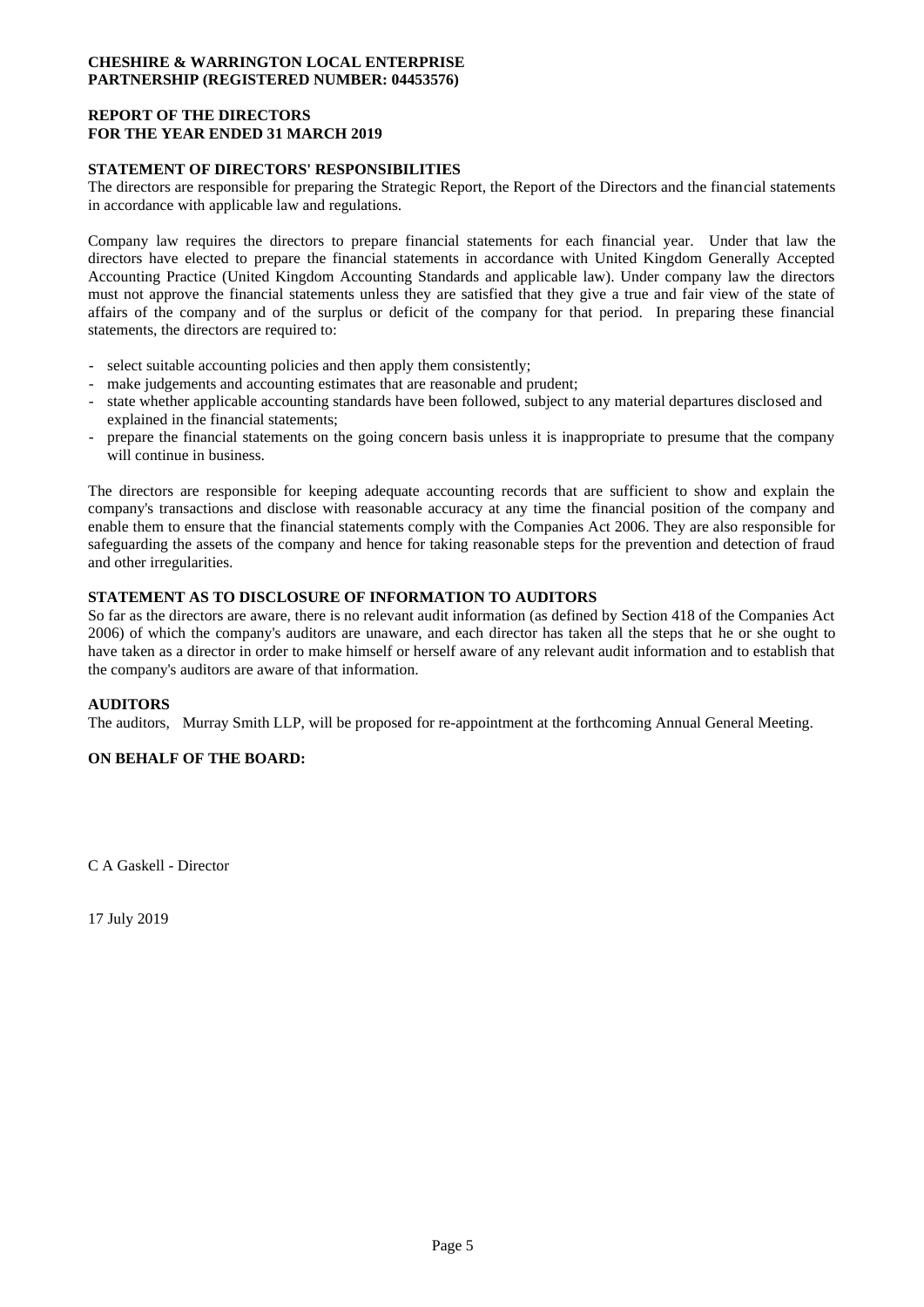## **REPORT OF THE DIRECTORS FOR THE YEAR ENDED 31 MARCH 2019**

## **STATEMENT OF DIRECTORS' RESPONSIBILITIES**

The directors are responsible for preparing the Strategic Report, the Report of the Directors and the financial statements in accordance with applicable law and regulations.

Company law requires the directors to prepare financial statements for each financial year. Under that law the directors have elected to prepare the financial statements in accordance with United Kingdom Generally Accepted Accounting Practice (United Kingdom Accounting Standards and applicable law). Under company law the directors must not approve the financial statements unless they are satisfied that they give a true and fair view of the state of affairs of the company and of the surplus or deficit of the company for that period. In preparing these financial statements, the directors are required to:

- select suitable accounting policies and then apply them consistently;
- make judgements and accounting estimates that are reasonable and prudent;
- state whether applicable accounting standards have been followed, subject to any material departures disclosed and explained in the financial statements;
- prepare the financial statements on the going concern basis unless it is inappropriate to presume that the company will continue in business.

The directors are responsible for keeping adequate accounting records that are sufficient to show and explain the company's transactions and disclose with reasonable accuracy at any time the financial position of the company and enable them to ensure that the financial statements comply with the Companies Act 2006. They are also responsible for safeguarding the assets of the company and hence for taking reasonable steps for the prevention and detection of fraud and other irregularities.

## **STATEMENT AS TO DISCLOSURE OF INFORMATION TO AUDITORS**

So far as the directors are aware, there is no relevant audit information (as defined by Section 418 of the Companies Act 2006) of which the company's auditors are unaware, and each director has taken all the steps that he or she ought to have taken as a director in order to make himself or herself aware of any relevant audit information and to establish that the company's auditors are aware of that information.

## **AUDITORS**

The auditors, Murray Smith LLP, will be proposed for re-appointment at the forthcoming Annual General Meeting.

## **ON BEHALF OF THE BOARD:**

C A Gaskell - Director

17 July 2019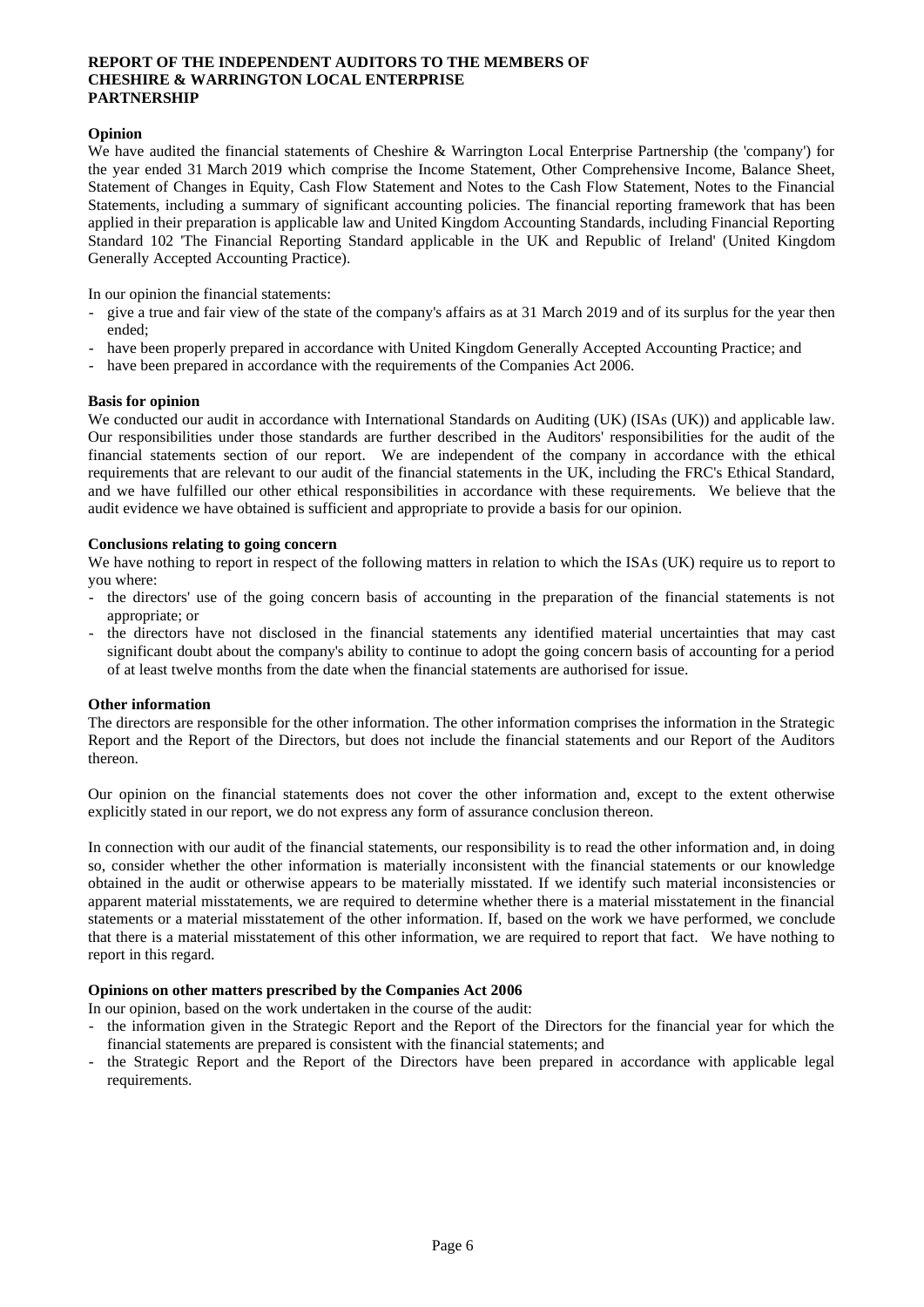## **REPORT OF THE INDEPENDENT AUDITORS TO THE MEMBERS OF CHESHIRE & WARRINGTON LOCAL ENTERPRISE PARTNERSHIP**

## **Opinion**

We have audited the financial statements of Cheshire & Warrington Local Enterprise Partnership (the 'company') for the year ended 31 March 2019 which comprise the Income Statement, Other Comprehensive Income, Balance Sheet, Statement of Changes in Equity, Cash Flow Statement and Notes to the Cash Flow Statement, Notes to the Financial Statements, including a summary of significant accounting policies. The financial reporting framework that has been applied in their preparation is applicable law and United Kingdom Accounting Standards, including Financial Reporting Standard 102 'The Financial Reporting Standard applicable in the UK and Republic of Ireland' (United Kingdom Generally Accepted Accounting Practice).

In our opinion the financial statements:

- give a true and fair view of the state of the company's affairs as at 31 March 2019 and of its surplus for the year then ended;
- have been properly prepared in accordance with United Kingdom Generally Accepted Accounting Practice; and
- have been prepared in accordance with the requirements of the Companies Act 2006.

### **Basis for opinion**

We conducted our audit in accordance with International Standards on Auditing (UK) (ISAs (UK)) and applicable law. Our responsibilities under those standards are further described in the Auditors' responsibilities for the audit of the financial statements section of our report. We are independent of the company in accordance with the ethical requirements that are relevant to our audit of the financial statements in the UK, including the FRC's Ethical Standard, and we have fulfilled our other ethical responsibilities in accordance with these requirements. We believe that the audit evidence we have obtained is sufficient and appropriate to provide a basis for our opinion.

### **Conclusions relating to going concern**

We have nothing to report in respect of the following matters in relation to which the ISAs (UK) require us to report to you where:

- the directors' use of the going concern basis of accounting in the preparation of the financial statements is not appropriate; or
- the directors have not disclosed in the financial statements any identified material uncertainties that may cast significant doubt about the company's ability to continue to adopt the going concern basis of accounting for a period of at least twelve months from the date when the financial statements are authorised for issue.

### **Other information**

The directors are responsible for the other information. The other information comprises the information in the Strategic Report and the Report of the Directors, but does not include the financial statements and our Report of the Auditors thereon.

Our opinion on the financial statements does not cover the other information and, except to the extent otherwise explicitly stated in our report, we do not express any form of assurance conclusion thereon.

In connection with our audit of the financial statements, our responsibility is to read the other information and, in doing so, consider whether the other information is materially inconsistent with the financial statements or our knowledge obtained in the audit or otherwise appears to be materially misstated. If we identify such material inconsistencies or apparent material misstatements, we are required to determine whether there is a material misstatement in the financial statements or a material misstatement of the other information. If, based on the work we have performed, we conclude that there is a material misstatement of this other information, we are required to report that fact. We have nothing to report in this regard.

### **Opinions on other matters prescribed by the Companies Act 2006**

In our opinion, based on the work undertaken in the course of the audit:

- the information given in the Strategic Report and the Report of the Directors for the financial year for which the financial statements are prepared is consistent with the financial statements; and
- the Strategic Report and the Report of the Directors have been prepared in accordance with applicable legal requirements.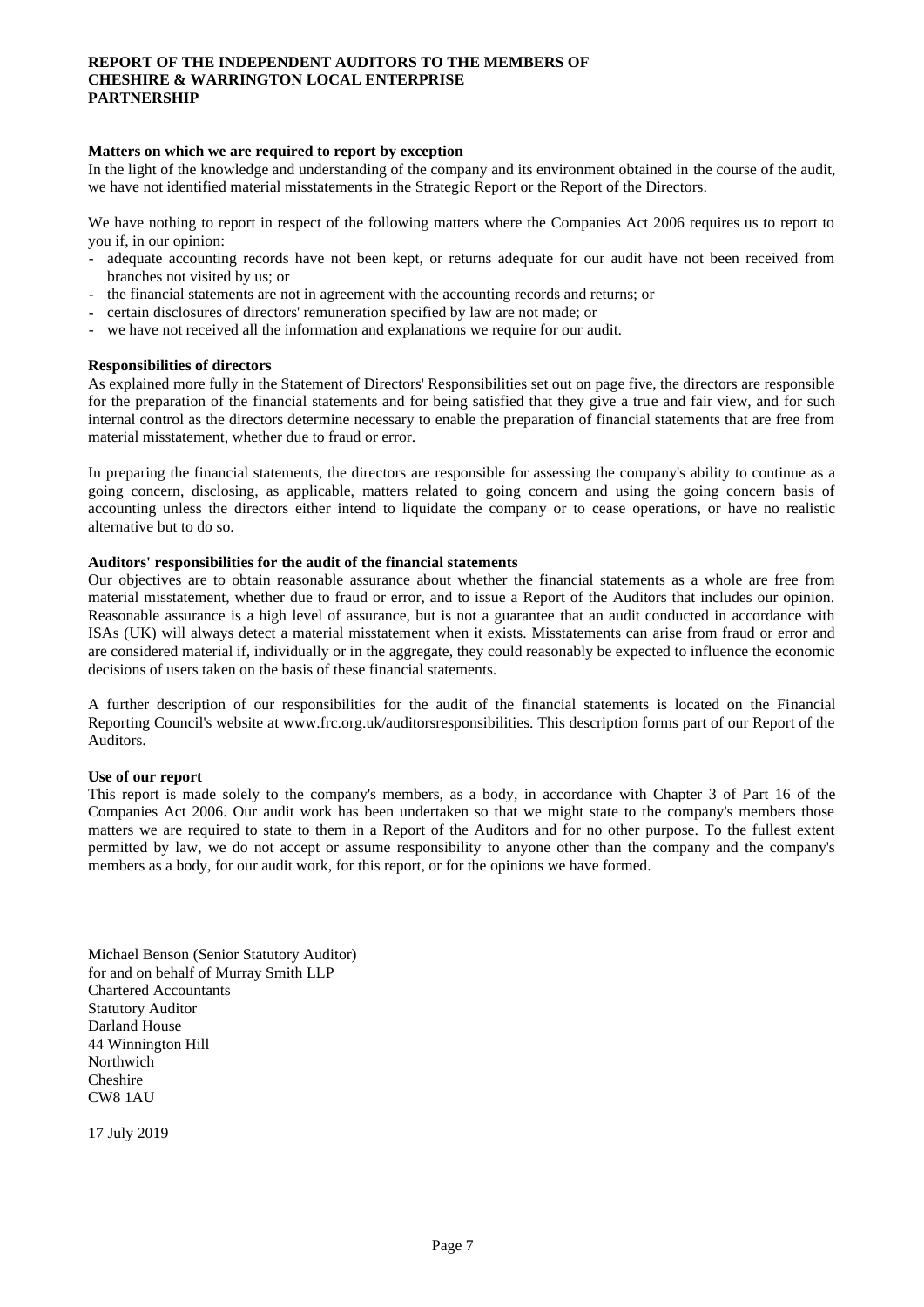## **REPORT OF THE INDEPENDENT AUDITORS TO THE MEMBERS OF CHESHIRE & WARRINGTON LOCAL ENTERPRISE PARTNERSHIP**

### **Matters on which we are required to report by exception**

In the light of the knowledge and understanding of the company and its environment obtained in the course of the audit, we have not identified material misstatements in the Strategic Report or the Report of the Directors.

We have nothing to report in respect of the following matters where the Companies Act 2006 requires us to report to you if, in our opinion:

- adequate accounting records have not been kept, or returns adequate for our audit have not been received from branches not visited by us; or
- the financial statements are not in agreement with the accounting records and returns; or
- certain disclosures of directors' remuneration specified by law are not made; or
- we have not received all the information and explanations we require for our audit.

#### **Responsibilities of directors**

As explained more fully in the Statement of Directors' Responsibilities set out on page five, the directors are responsible for the preparation of the financial statements and for being satisfied that they give a true and fair view, and for such internal control as the directors determine necessary to enable the preparation of financial statements that are free from material misstatement, whether due to fraud or error.

In preparing the financial statements, the directors are responsible for assessing the company's ability to continue as a going concern, disclosing, as applicable, matters related to going concern and using the going concern basis of accounting unless the directors either intend to liquidate the company or to cease operations, or have no realistic alternative but to do so.

#### **Auditors' responsibilities for the audit of the financial statements**

Our objectives are to obtain reasonable assurance about whether the financial statements as a whole are free from material misstatement, whether due to fraud or error, and to issue a Report of the Auditors that includes our opinion. Reasonable assurance is a high level of assurance, but is not a guarantee that an audit conducted in accordance with ISAs (UK) will always detect a material misstatement when it exists. Misstatements can arise from fraud or error and are considered material if, individually or in the aggregate, they could reasonably be expected to influence the economic decisions of users taken on the basis of these financial statements.

A further description of our responsibilities for the audit of the financial statements is located on the Financial Reporting Council's website at www.frc.org.uk/auditorsresponsibilities. This description forms part of our Report of the Auditors.

### **Use of our report**

This report is made solely to the company's members, as a body, in accordance with Chapter 3 of Part 16 of the Companies Act 2006. Our audit work has been undertaken so that we might state to the company's members those matters we are required to state to them in a Report of the Auditors and for no other purpose. To the fullest extent permitted by law, we do not accept or assume responsibility to anyone other than the company and the company's members as a body, for our audit work, for this report, or for the opinions we have formed.

Michael Benson (Senior Statutory Auditor) for and on behalf of Murray Smith LLP Chartered Accountants Statutory Auditor Darland House 44 Winnington Hill Northwich Cheshire CW8 1AU

17 July 2019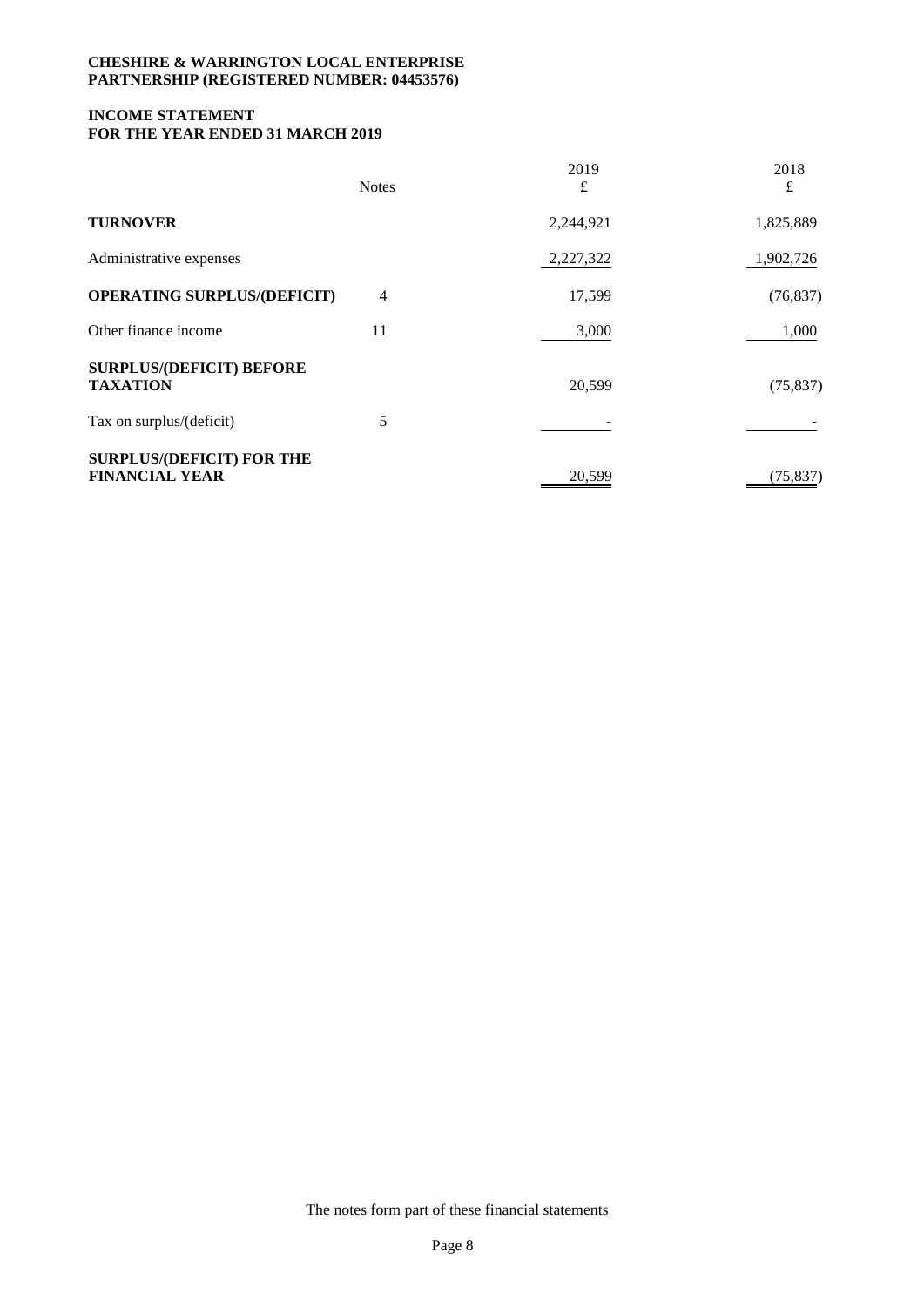## **INCOME STATEMENT FOR THE YEAR ENDED 31 MARCH 2019**

|                                                           | <b>Notes</b> | 2019<br>£ | 2018<br>£ |
|-----------------------------------------------------------|--------------|-----------|-----------|
| <b>TURNOVER</b>                                           |              | 2,244,921 | 1,825,889 |
| Administrative expenses                                   |              | 2,227,322 | 1,902,726 |
| <b>OPERATING SURPLUS/(DEFICIT)</b>                        | 4            | 17,599    | (76, 837) |
| Other finance income                                      | 11           | 3,000     | 1,000     |
| <b>SURPLUS/(DEFICIT) BEFORE</b><br><b>TAXATION</b>        |              | 20,599    | (75, 837) |
| Tax on surplus/(deficit)                                  | 5            |           |           |
| <b>SURPLUS/(DEFICIT) FOR THE</b><br><b>FINANCIAL YEAR</b> |              | 20,599    | (75, 837) |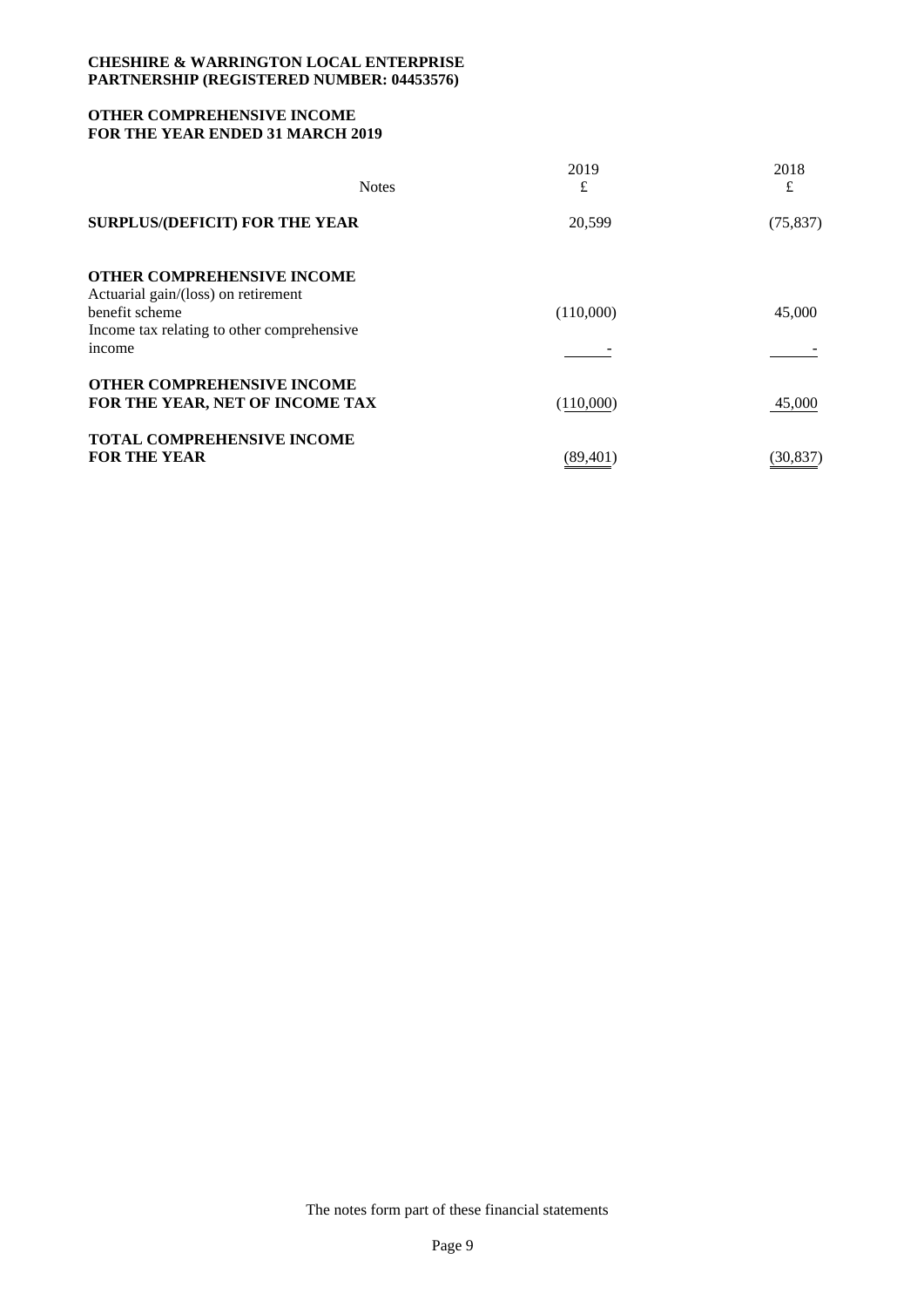## **OTHER COMPREHENSIVE INCOME FOR THE YEAR ENDED 31 MARCH 2019**

| <b>Notes</b>                                                             | 2019<br>£ | 2018<br>£ |
|--------------------------------------------------------------------------|-----------|-----------|
| <b>SURPLUS/(DEFICIT) FOR THE YEAR</b>                                    | 20,599    | (75, 837) |
| <b>OTHER COMPREHENSIVE INCOME</b><br>Actuarial gain/(loss) on retirement |           |           |
| benefit scheme                                                           | (110,000) | 45,000    |
| Income tax relating to other comprehensive                               |           |           |
| income                                                                   |           |           |
| <b>OTHER COMPREHENSIVE INCOME</b>                                        |           |           |
| FOR THE YEAR, NET OF INCOME TAX                                          | (110,000) | 45,000    |
| <b>TOTAL COMPREHENSIVE INCOME</b>                                        |           |           |
| <b>FOR THE YEAR</b>                                                      | (89,401)  | (30, 837) |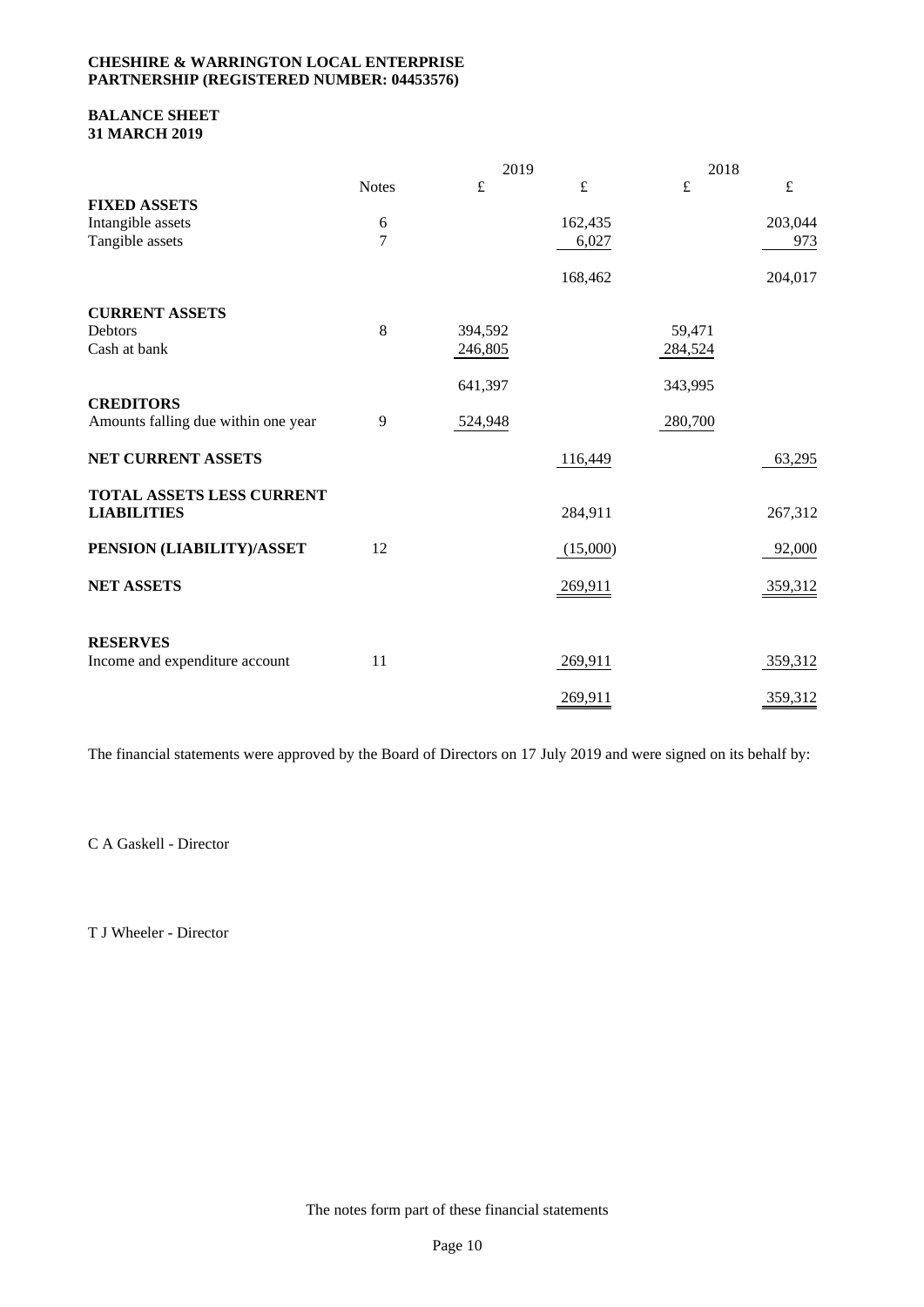### **BALANCE SHEET 31 MARCH 2019**

|                                                 | 2019           |           |           | 2018      |           |  |
|-------------------------------------------------|----------------|-----------|-----------|-----------|-----------|--|
|                                                 | <b>Notes</b>   | $\pounds$ | $\pounds$ | $\pounds$ | $\pounds$ |  |
| <b>FIXED ASSETS</b>                             |                |           |           |           |           |  |
| Intangible assets                               | 6              |           | 162,435   |           | 203,044   |  |
| Tangible assets                                 | $\overline{7}$ |           | 6,027     |           | 973       |  |
|                                                 |                |           | 168,462   |           | 204,017   |  |
| <b>CURRENT ASSETS</b>                           |                |           |           |           |           |  |
| Debtors                                         | 8              | 394,592   |           | 59,471    |           |  |
| Cash at bank                                    |                | 246,805   |           | 284,524   |           |  |
|                                                 |                | 641,397   |           | 343,995   |           |  |
| <b>CREDITORS</b>                                |                |           |           |           |           |  |
| Amounts falling due within one year             | 9              | 524,948   |           | 280,700   |           |  |
| NET CURRENT ASSETS                              |                |           | 116,449   |           | 63,295    |  |
| TOTAL ASSETS LESS CURRENT<br><b>LIABILITIES</b> |                |           | 284,911   |           | 267,312   |  |
| PENSION (LIABILITY)/ASSET                       | 12             |           | (15,000)  |           | 92,000    |  |
| <b>NET ASSETS</b>                               |                |           | 269,911   |           | 359,312   |  |
| <b>RESERVES</b>                                 |                |           |           |           |           |  |
| Income and expenditure account                  | 11             |           | 269,911   |           | 359,312   |  |
|                                                 |                |           | 269,911   |           | 359,312   |  |

The financial statements were approved by the Board of Directors on 17 July 2019 and were signed on its behalf by:

C A Gaskell - Director

T J Wheeler - Director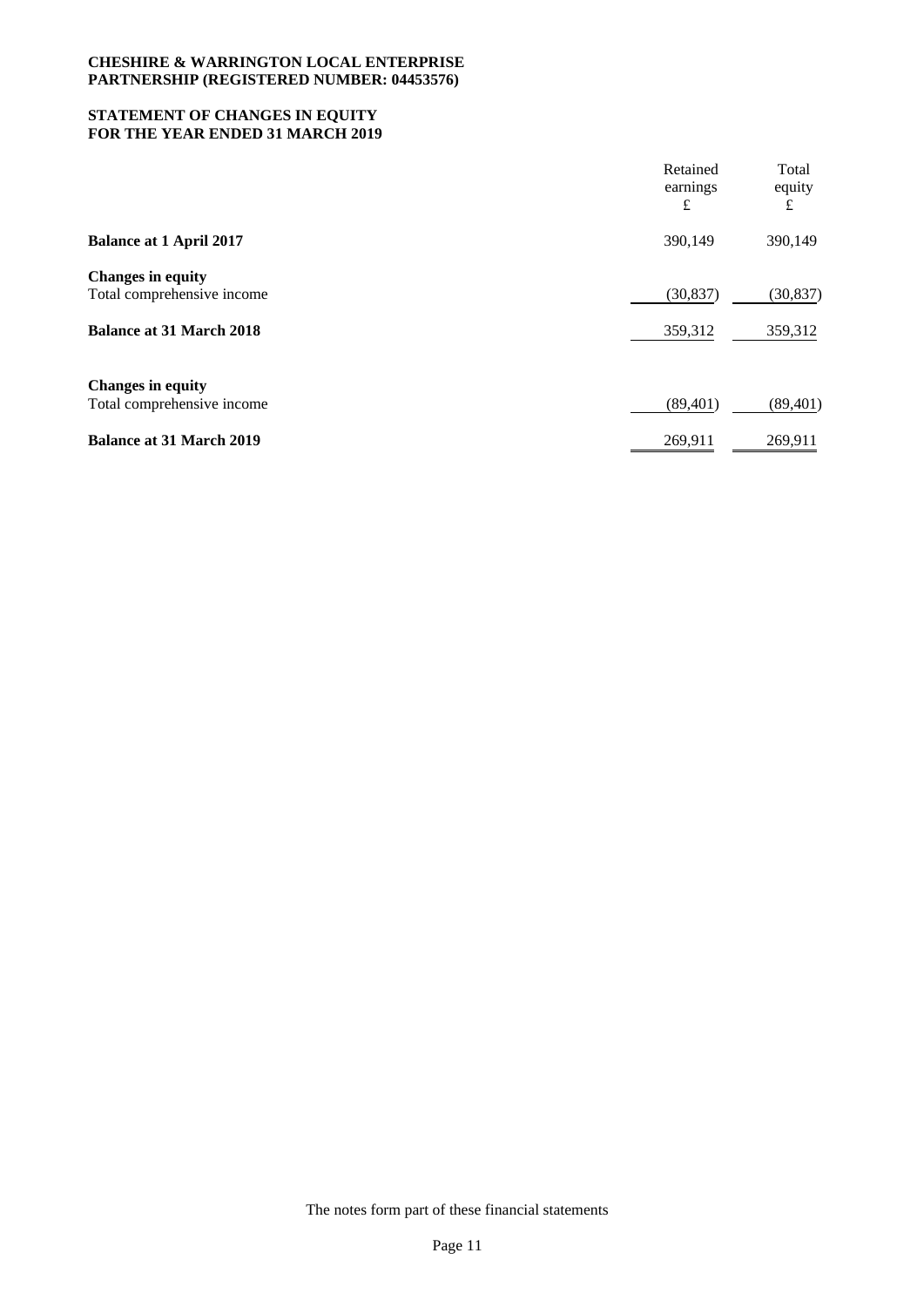## **STATEMENT OF CHANGES IN EQUITY FOR THE YEAR ENDED 31 MARCH 2019**

|                                                        | Retained<br>earnings<br>£ | Total<br>equity<br>£ |
|--------------------------------------------------------|---------------------------|----------------------|
| <b>Balance at 1 April 2017</b>                         | 390,149                   | 390,149              |
| <b>Changes in equity</b><br>Total comprehensive income | (30, 837)                 | (30, 837)            |
| <b>Balance at 31 March 2018</b>                        | 359,312                   | 359,312              |
| <b>Changes in equity</b><br>Total comprehensive income | (89, 401)                 | (89, 401)            |
| <b>Balance at 31 March 2019</b>                        | 269,911                   | 269,911              |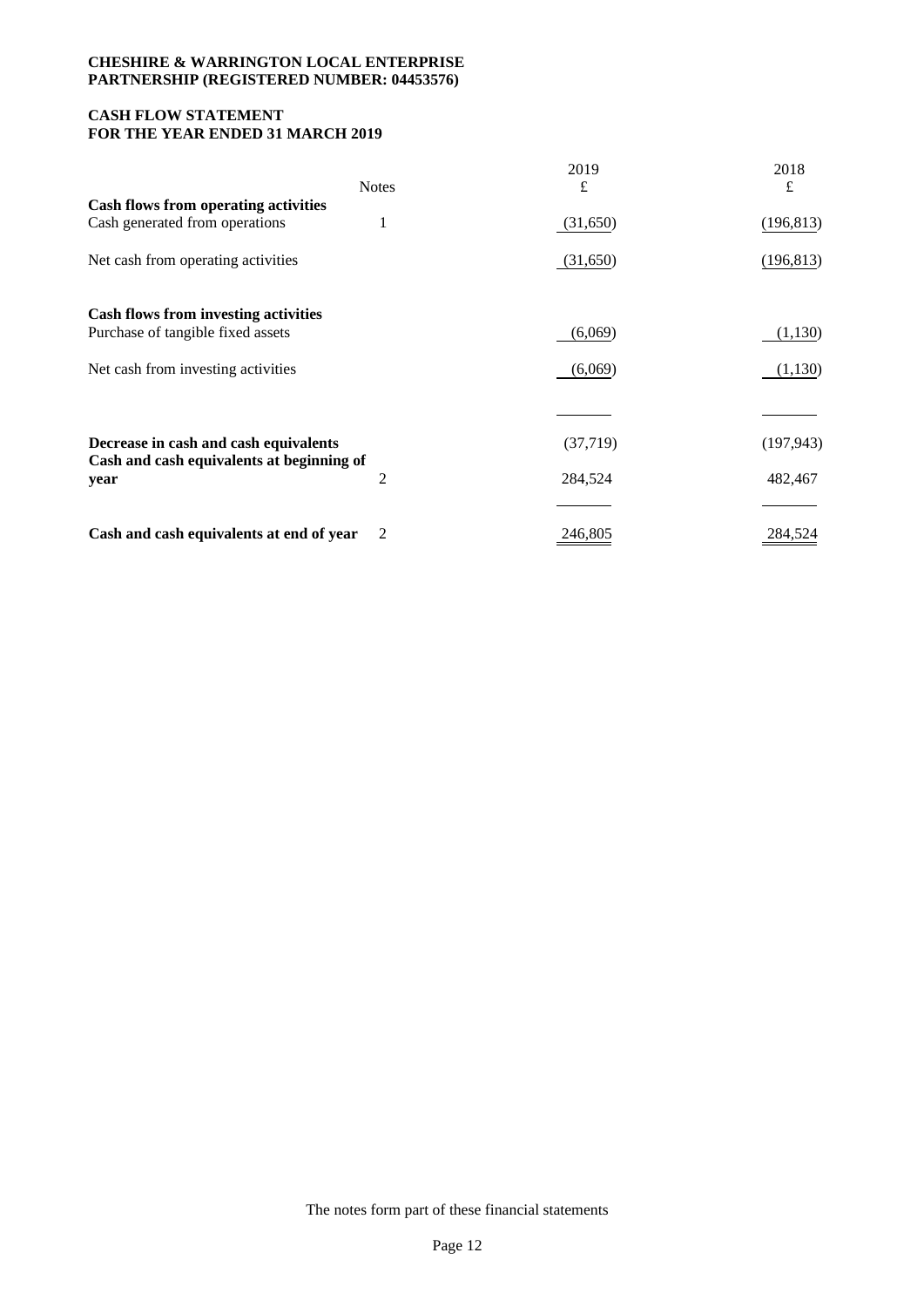## **CASH FLOW STATEMENT FOR THE YEAR ENDED 31 MARCH 2019**

|                                                                                    | <b>Notes</b> | 2019<br>£ | 2018<br>£  |
|------------------------------------------------------------------------------------|--------------|-----------|------------|
| <b>Cash flows from operating activities</b>                                        |              |           |            |
| Cash generated from operations                                                     | 1            | (31,650)  | (196, 813) |
| Net cash from operating activities                                                 |              | (31,650)  | (196, 813) |
| <b>Cash flows from investing activities</b>                                        |              |           |            |
| Purchase of tangible fixed assets                                                  |              | (6,069)   | (1,130)    |
| Net cash from investing activities                                                 |              | (6,069)   | (1,130)    |
|                                                                                    |              |           |            |
| Decrease in cash and cash equivalents<br>Cash and cash equivalents at beginning of |              | (37,719)  | (197, 943) |
| year                                                                               | 2            | 284,524   | 482,467    |
|                                                                                    |              |           |            |
| Cash and cash equivalents at end of year                                           | 2            | 246,805   | 284,524    |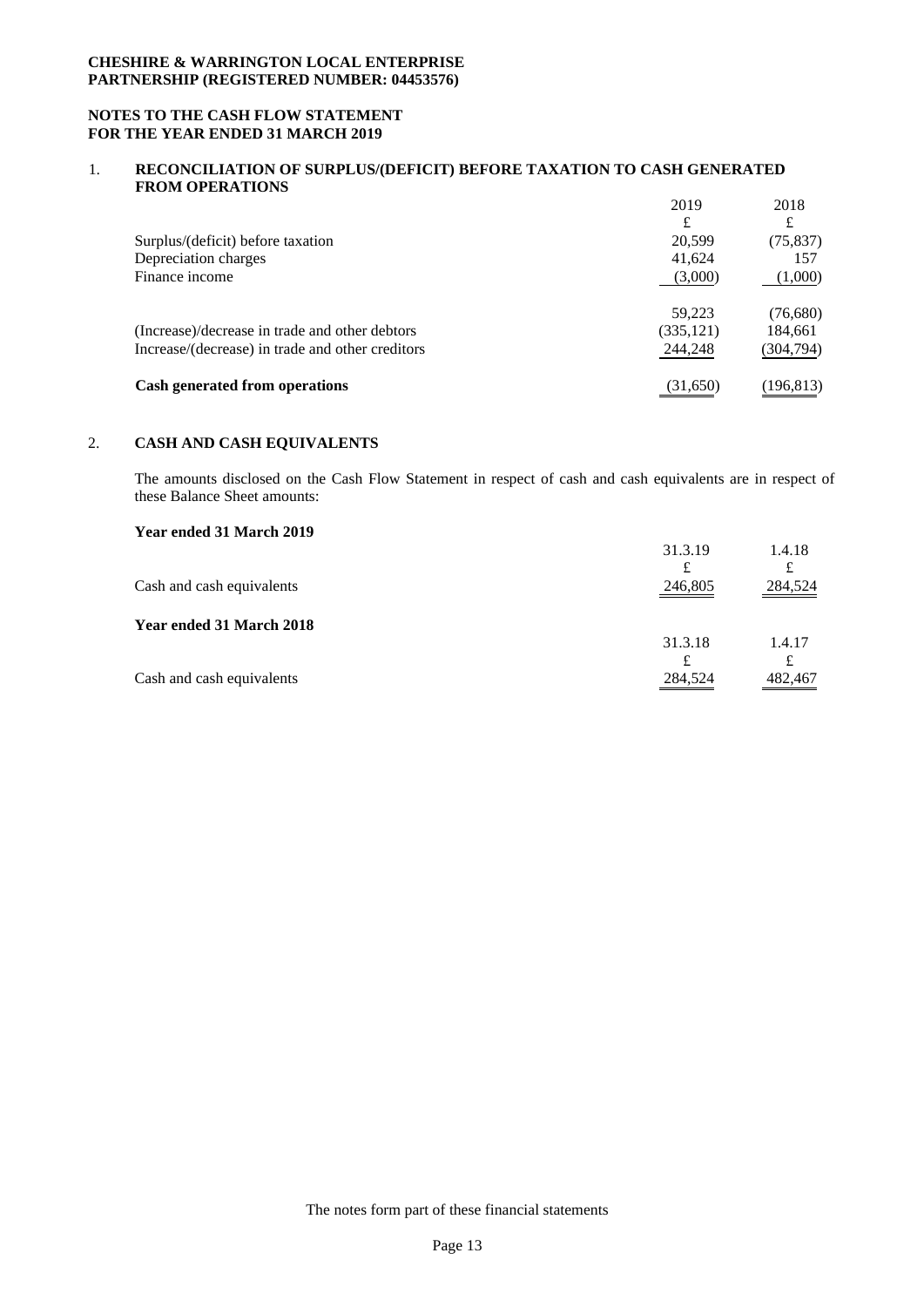### **NOTES TO THE CASH FLOW STATEMENT FOR THE YEAR ENDED 31 MARCH 2019**

### 1. **RECONCILIATION OF SURPLUS/(DEFICIT) BEFORE TAXATION TO CASH GENERATED FROM OPERATIONS**

|                                                  | 2019       | 2018       |
|--------------------------------------------------|------------|------------|
|                                                  | £          | £          |
| Surplus/(deficit) before taxation                | 20.599     | (75, 837)  |
| Depreciation charges                             | 41,624     | 157        |
| Finance income                                   | (3,000)    | (1,000)    |
|                                                  | 59.223     | (76,680)   |
| (Increase)/decrease in trade and other debtors   | (335, 121) | 184,661    |
| Increase/(decrease) in trade and other creditors | 244,248    | (304,794)  |
| <b>Cash generated from operations</b>            | (31,650)   | (196, 813) |

## 2. **CASH AND CASH EQUIVALENTS**

The amounts disclosed on the Cash Flow Statement in respect of cash and cash equivalents are in respect of these Balance Sheet amounts:

# **Year ended 31 March 2019**

| 31.3.19 | 1.4.18  |
|---------|---------|
| £       |         |
| 246,805 | 284,524 |
|         |         |
| 31.3.18 | 1.4.17  |
|         |         |
| 284,524 | 482,467 |
|         |         |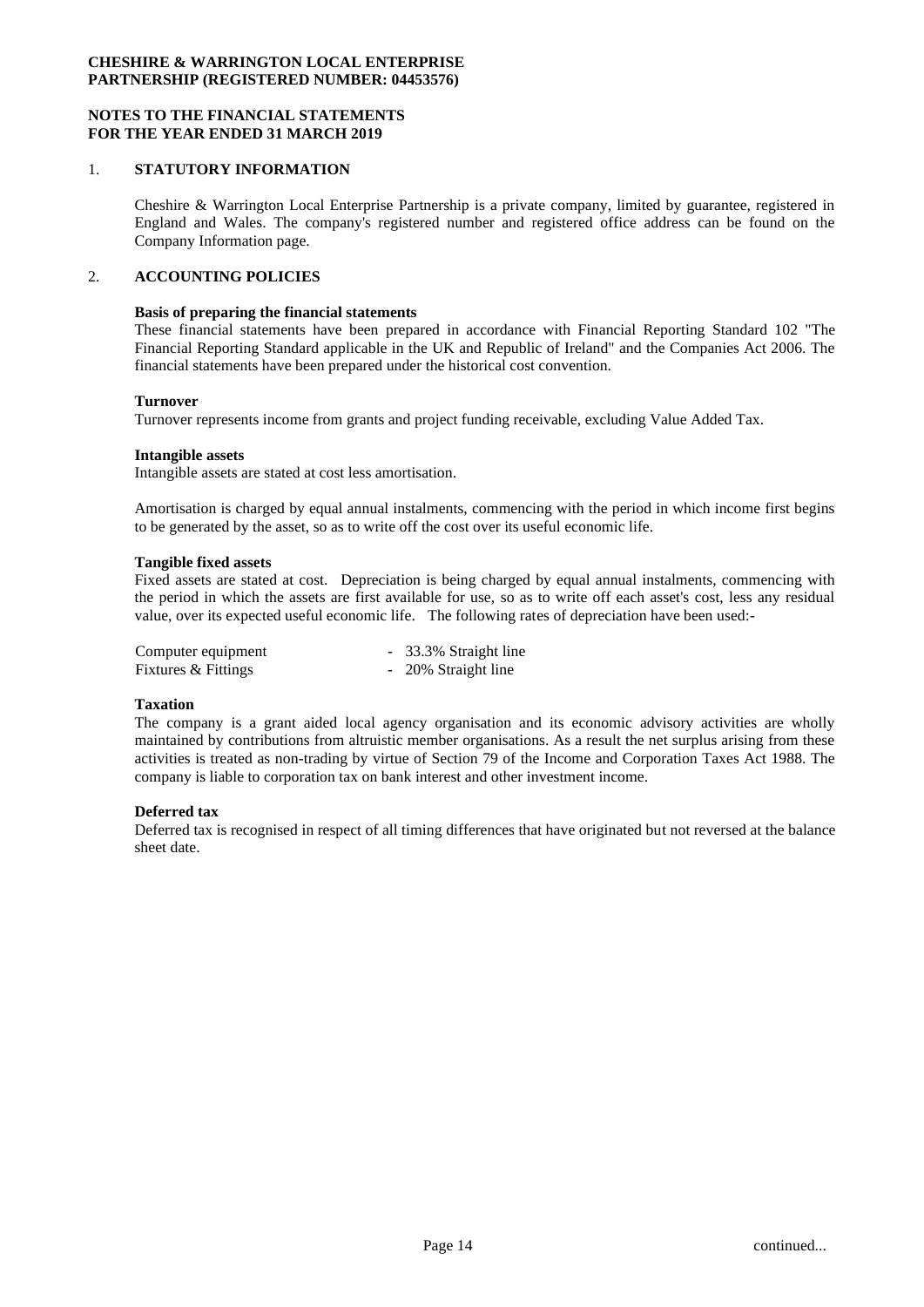### **NOTES TO THE FINANCIAL STATEMENTS FOR THE YEAR ENDED 31 MARCH 2019**

### 1. **STATUTORY INFORMATION**

Cheshire & Warrington Local Enterprise Partnership is a private company, limited by guarantee, registered in England and Wales. The company's registered number and registered office address can be found on the Company Information page.

## 2. **ACCOUNTING POLICIES**

#### **Basis of preparing the financial statements**

These financial statements have been prepared in accordance with Financial Reporting Standard 102 "The Financial Reporting Standard applicable in the UK and Republic of Ireland" and the Companies Act 2006. The financial statements have been prepared under the historical cost convention.

#### **Turnover**

Turnover represents income from grants and project funding receivable, excluding Value Added Tax.

#### **Intangible assets**

Intangible assets are stated at cost less amortisation.

Amortisation is charged by equal annual instalments, commencing with the period in which income first begins to be generated by the asset, so as to write off the cost over its useful economic life.

#### **Tangible fixed assets**

Fixed assets are stated at cost. Depreciation is being charged by equal annual instalments, commencing with the period in which the assets are first available for use, so as to write off each asset's cost, less any residual value, over its expected useful economic life. The following rates of depreciation have been used:-

| Computer equipment  | - 33.3% Straight line |
|---------------------|-----------------------|
| Fixtures & Fittings | - 20% Straight line   |

### **Taxation**

The company is a grant aided local agency organisation and its economic advisory activities are wholly maintained by contributions from altruistic member organisations. As a result the net surplus arising from these activities is treated as non-trading by virtue of Section 79 of the Income and Corporation Taxes Act 1988. The company is liable to corporation tax on bank interest and other investment income.

### **Deferred tax**

Deferred tax is recognised in respect of all timing differences that have originated but not reversed at the balance sheet date.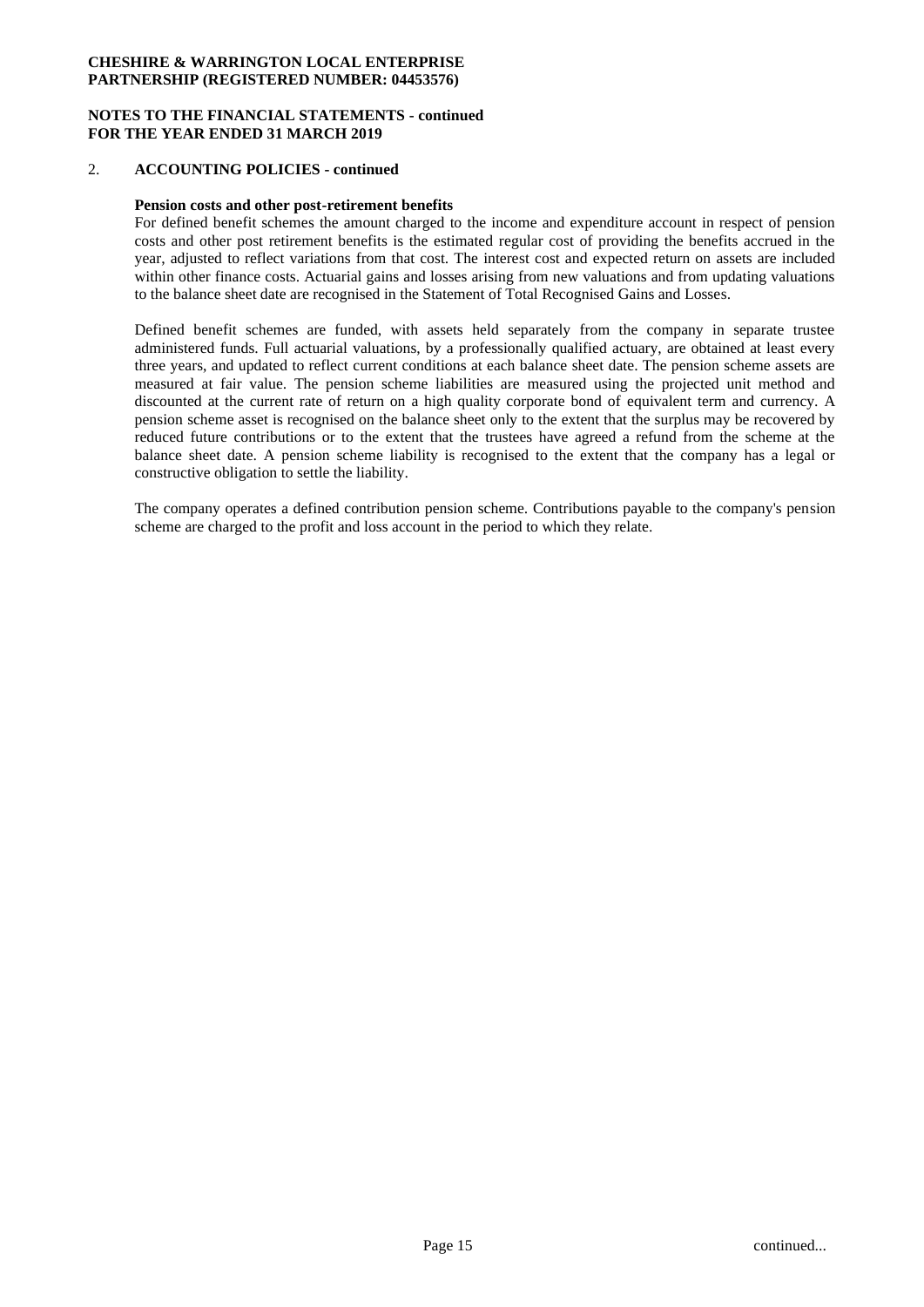### **NOTES TO THE FINANCIAL STATEMENTS - continued FOR THE YEAR ENDED 31 MARCH 2019**

### 2. **ACCOUNTING POLICIES - continued**

### **Pension costs and other post-retirement benefits**

For defined benefit schemes the amount charged to the income and expenditure account in respect of pension costs and other post retirement benefits is the estimated regular cost of providing the benefits accrued in the year, adjusted to reflect variations from that cost. The interest cost and expected return on assets are included within other finance costs. Actuarial gains and losses arising from new valuations and from updating valuations to the balance sheet date are recognised in the Statement of Total Recognised Gains and Losses.

Defined benefit schemes are funded, with assets held separately from the company in separate trustee administered funds. Full actuarial valuations, by a professionally qualified actuary, are obtained at least every three years, and updated to reflect current conditions at each balance sheet date. The pension scheme assets are measured at fair value. The pension scheme liabilities are measured using the projected unit method and discounted at the current rate of return on a high quality corporate bond of equivalent term and currency. A pension scheme asset is recognised on the balance sheet only to the extent that the surplus may be recovered by reduced future contributions or to the extent that the trustees have agreed a refund from the scheme at the balance sheet date. A pension scheme liability is recognised to the extent that the company has a legal or constructive obligation to settle the liability.

The company operates a defined contribution pension scheme. Contributions payable to the company's pension scheme are charged to the profit and loss account in the period to which they relate.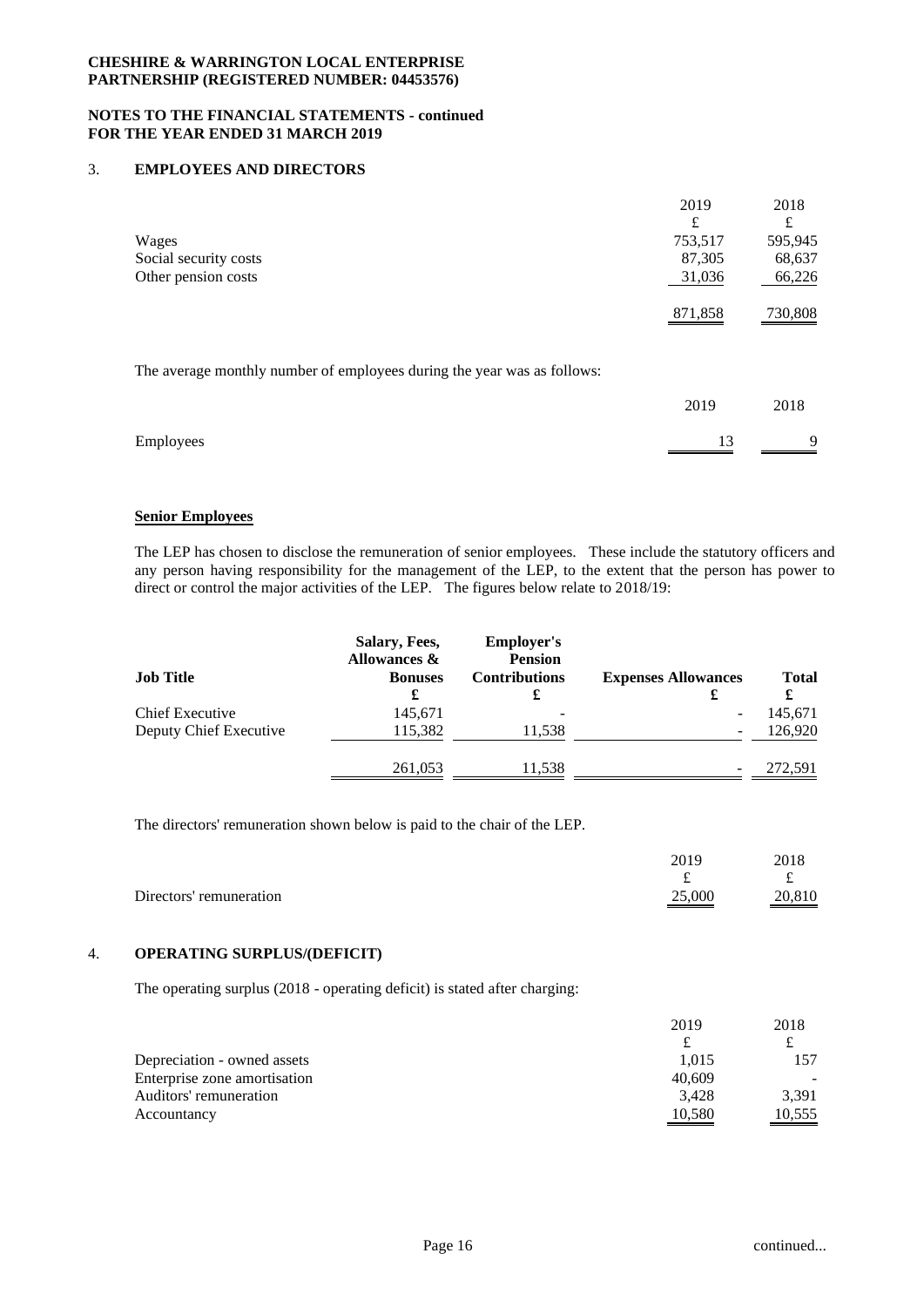### **NOTES TO THE FINANCIAL STATEMENTS - continued FOR THE YEAR ENDED 31 MARCH 2019**

## 3. **EMPLOYEES AND DIRECTORS**

|                                                                         | 2019    | 2018    |
|-------------------------------------------------------------------------|---------|---------|
|                                                                         | £       | £       |
| Wages                                                                   | 753,517 | 595,945 |
| Social security costs                                                   | 87,305  | 68,637  |
| Other pension costs                                                     | 31,036  | 66,226  |
|                                                                         | 871,858 | 730,808 |
|                                                                         |         |         |
| The average monthly number of employees during the year was as follows: |         |         |
|                                                                         | 2019    | 2018    |
| Employees                                                               | 13      | 9       |

### **Senior Employees**

The LEP has chosen to disclose the remuneration of senior employees. These include the statutory officers and any person having responsibility for the management of the LEP, to the extent that the person has power to direct or control the major activities of the LEP. The figures below relate to 2018/19:

| <b>Job Title</b>       | Salary, Fees,<br>Allowances &<br><b>Bonuses</b><br>£ | <b>Employer's</b><br><b>Pension</b><br><b>Contributions</b><br>£ | <b>Expenses Allowances</b> | <b>Total</b> |
|------------------------|------------------------------------------------------|------------------------------------------------------------------|----------------------------|--------------|
| Chief Executive        | 145,671                                              |                                                                  |                            | 145,671      |
| Deputy Chief Executive | 115,382                                              | 11,538                                                           |                            | 126,920      |
|                        | 261,053                                              | 11,538                                                           |                            | 272,591      |

The directors' remuneration shown below is paid to the chair of the LEP.

|                         | 2019   | 2018   |
|-------------------------|--------|--------|
|                         | $\sim$ |        |
| Directors' remuneration | 25,000 | 20,810 |

### 4. **OPERATING SURPLUS/(DEFICIT)**

The operating surplus (2018 - operating deficit) is stated after charging:

|                              | 2019   | 2018                                                                                                                            |
|------------------------------|--------|---------------------------------------------------------------------------------------------------------------------------------|
|                              |        |                                                                                                                                 |
| Depreciation - owned assets  | 1.015  | 157                                                                                                                             |
| Enterprise zone amortisation | 40.609 |                                                                                                                                 |
| Auditors' remuneration       | 3.428  | 3.391                                                                                                                           |
| Accountancy                  | 10,580 | 10,555<br><u> Tanzania de la contenentación de la contenentación de la contenentación de la contenentación de la contenenta</u> |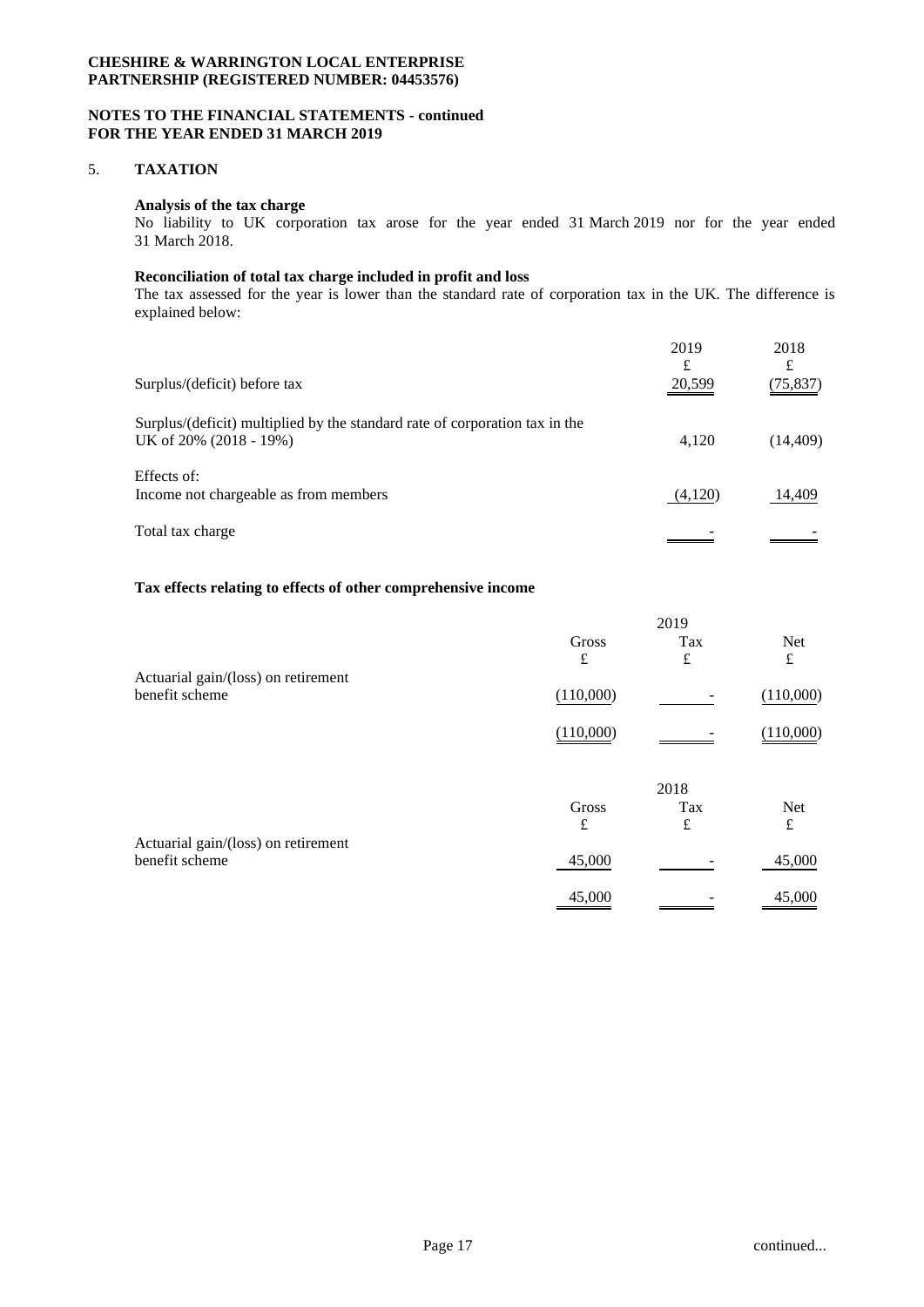### **NOTES TO THE FINANCIAL STATEMENTS - continued FOR THE YEAR ENDED 31 MARCH 2019**

## 5. **TAXATION**

## **Analysis of the tax charge**

No liability to UK corporation tax arose for the year ended 31 March 2019 nor for the year ended 31 March 2018.

## **Reconciliation of total tax charge included in profit and loss**

The tax assessed for the year is lower than the standard rate of corporation tax in the UK. The difference is explained below:

| Surplus/(deficit) before tax                                                                          | 2019<br>£<br>20,599 | 2018<br>£<br>(75, 837) |
|-------------------------------------------------------------------------------------------------------|---------------------|------------------------|
| Surplus/(deficit) multiplied by the standard rate of corporation tax in the<br>UK of 20% (2018 - 19%) | 4,120               | (14, 409)              |
| Effects of:<br>Income not chargeable as from members                                                  | (4,120)             | 14,409                 |
| Total tax charge                                                                                      |                     |                        |

## **Tax effects relating to effects of other comprehensive income**

|                                                       |           | 2019 |            |
|-------------------------------------------------------|-----------|------|------------|
|                                                       | Gross     | Tax  | Net        |
|                                                       | £         | £    | £          |
| Actuarial gain/(loss) on retirement<br>benefit scheme | (110,000) |      | (110,000)  |
|                                                       | (110,000) |      | (110,000)  |
|                                                       |           | 2018 |            |
|                                                       | Gross     | Tax  | <b>Net</b> |
|                                                       | £         | £    | £          |
| Actuarial gain/(loss) on retirement                   |           |      |            |
| benefit scheme                                        | 45,000    |      | 45,000     |
|                                                       | 45,000    |      | 45,000     |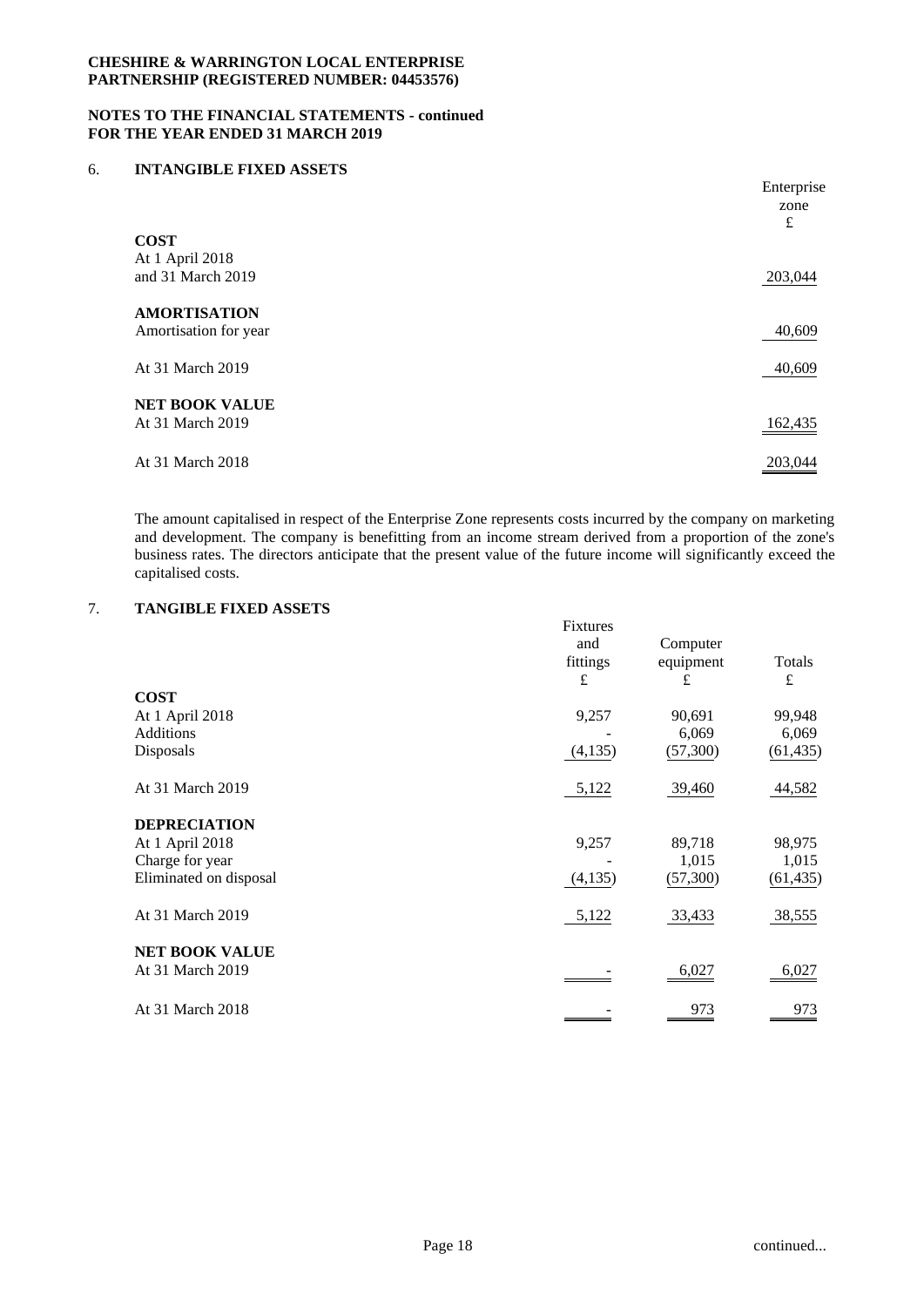### **NOTES TO THE FINANCIAL STATEMENTS - continued FOR THE YEAR ENDED 31 MARCH 2019**

### 6. **INTANGIBLE FIXED ASSETS**

|                       | Enterprise |
|-----------------------|------------|
|                       | zone       |
|                       | £          |
| <b>COST</b>           |            |
| At 1 April 2018       |            |
| and 31 March 2019     | 203,044    |
|                       |            |
| <b>AMORTISATION</b>   |            |
| Amortisation for year | 40,609     |
|                       |            |
| At 31 March 2019      | 40,609     |
|                       |            |
| <b>NET BOOK VALUE</b> |            |
| At 31 March 2019      | 162,435    |
|                       |            |
| At 31 March 2018      | 203,044    |
|                       |            |

The amount capitalised in respect of the Enterprise Zone represents costs incurred by the company on marketing and development. The company is benefitting from an income stream derived from a proportion of the zone's business rates. The directors anticipate that the present value of the future income will significantly exceed the capitalised costs.

# 7. **TANGIBLE FIXED ASSETS**

|                        | Fixtures<br>and | Computer  |           |
|------------------------|-----------------|-----------|-----------|
|                        | fittings        | equipment | Totals    |
|                        | £               | £         | £         |
| <b>COST</b>            |                 |           |           |
| At 1 April 2018        | 9,257           | 90,691    | 99,948    |
| <b>Additions</b>       |                 | 6,069     | 6,069     |
| Disposals              | (4,135)         | (57,300)  | (61, 435) |
| At 31 March 2019       | 5,122           | 39,460    | 44,582    |
| <b>DEPRECIATION</b>    |                 |           |           |
| At 1 April 2018        | 9,257           | 89,718    | 98,975    |
| Charge for year        |                 | 1,015     | 1,015     |
| Eliminated on disposal | (4,135)         | (57,300)  | (61, 435) |
| At 31 March 2019       | 5,122           | 33,433    | 38,555    |
| <b>NET BOOK VALUE</b>  |                 |           |           |
| At 31 March 2019       |                 | 6,027     | 6,027     |
| At 31 March 2018       |                 | 973       | 973       |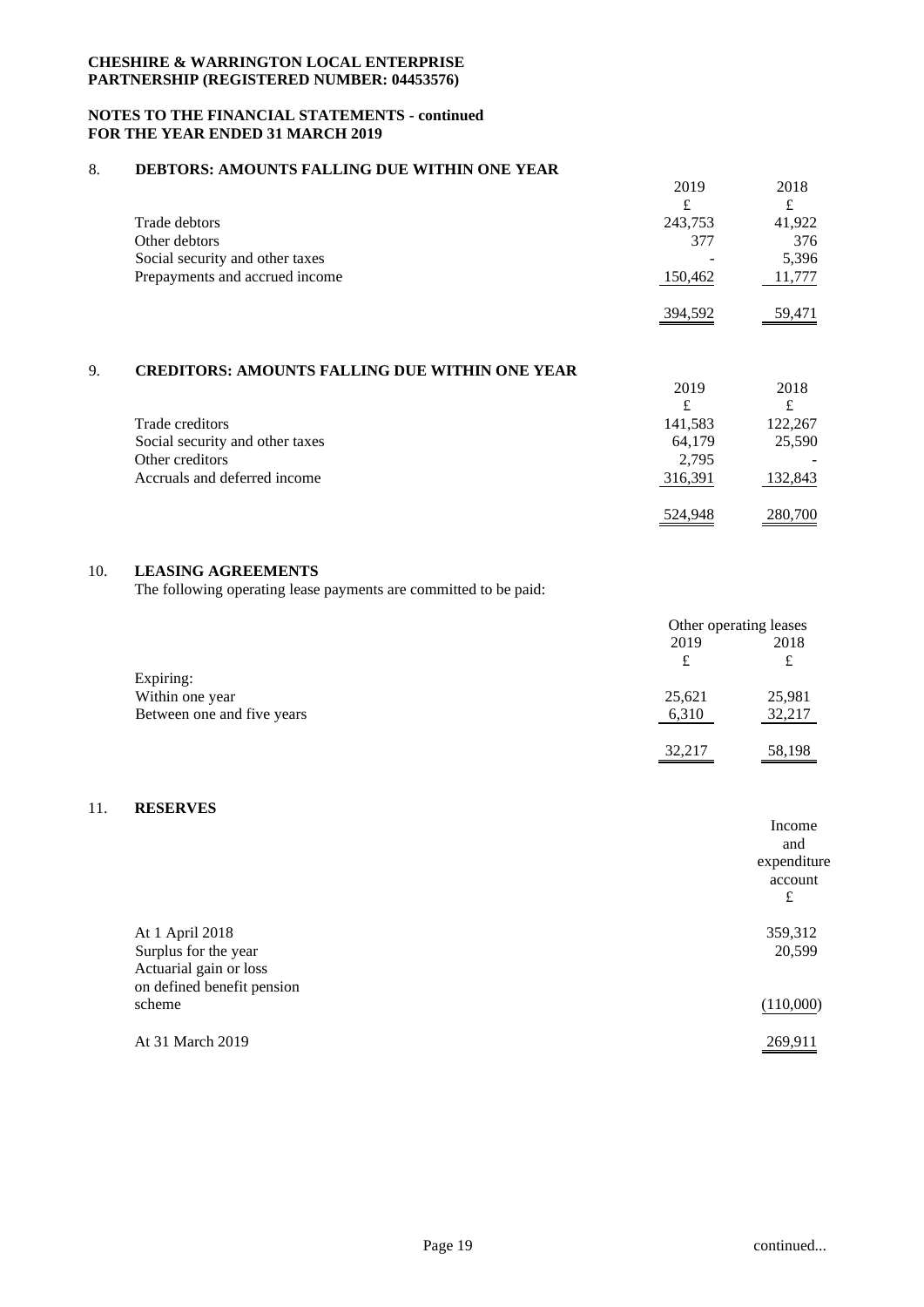### **NOTES TO THE FINANCIAL STATEMENTS - continued FOR THE YEAR ENDED 31 MARCH 2019**

## 8. **DEBTORS: AMOUNTS FALLING DUE WITHIN ONE YEAR**

|                                 | 2019<br>£ | 2018   |
|---------------------------------|-----------|--------|
| Trade debtors                   | 243,753   | 41,922 |
| Other debtors                   | 377       | 376    |
| Social security and other taxes |           | 5,396  |
| Prepayments and accrued income  | 150,462   | 11,777 |
|                                 | 394,592   | 59,471 |

## 9. **CREDITORS: AMOUNTS FALLING DUE WITHIN ONE YEAR**

| <u>UNDDII UNUI INIIU UITIU ITIDIIITU D UD TIIIIIITU UITID IDIIN</u> |         |         |
|---------------------------------------------------------------------|---------|---------|
|                                                                     | 2019    | 2018    |
|                                                                     | £       |         |
| Trade creditors                                                     | 141,583 | 122,267 |
| Social security and other taxes                                     | 64,179  | 25,590  |
| Other creditors                                                     | 2.795   |         |
| Accruals and deferred income                                        | 316,391 | 132,843 |
|                                                                     | 524,948 | 280,700 |

## 10. **LEASING AGREEMENTS**

The following operating lease payments are committed to be paid:

|                            | Other operating leases |        |
|----------------------------|------------------------|--------|
|                            | 2019                   | 2018   |
|                            | £                      | £      |
| Expiring:                  |                        |        |
| Within one year            | 25,621                 | 25,981 |
| Between one and five years | 6,310                  | 32,217 |
|                            |                        |        |
|                            | 32,217                 | 58,198 |

# 11. **RESERVES**

| Income      |
|-------------|
| and         |
| expenditure |
| account     |
| £           |
| 359,312     |
| 20,599      |
|             |
|             |
| (110,000)   |
| 269,911     |
|             |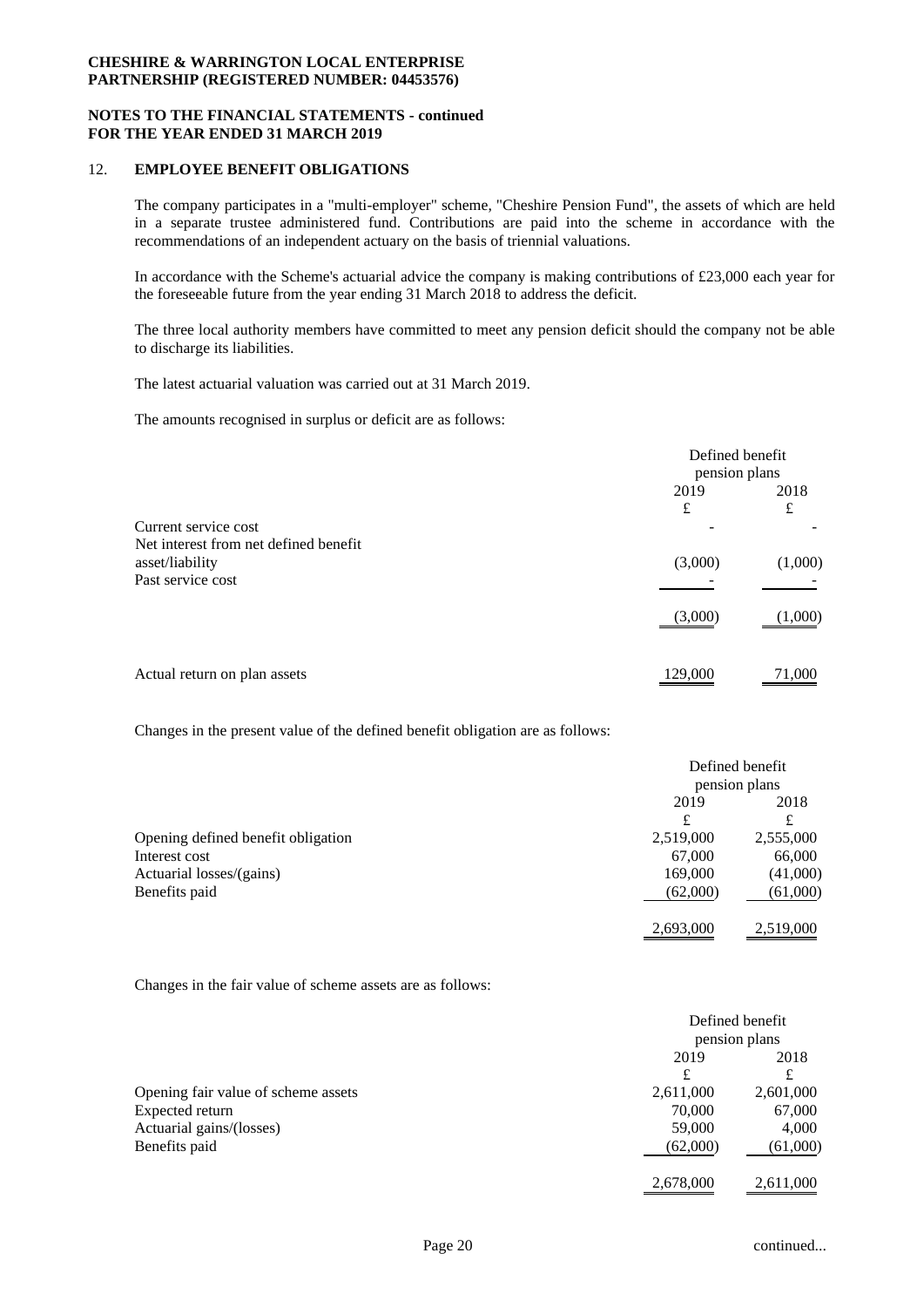### **NOTES TO THE FINANCIAL STATEMENTS - continued FOR THE YEAR ENDED 31 MARCH 2019**

### 12. **EMPLOYEE BENEFIT OBLIGATIONS**

The company participates in a "multi-employer" scheme, "Cheshire Pension Fund", the assets of which are held in a separate trustee administered fund. Contributions are paid into the scheme in accordance with the recommendations of an independent actuary on the basis of triennial valuations.

In accordance with the Scheme's actuarial advice the company is making contributions of £23,000 each year for the foreseeable future from the year ending 31 March 2018 to address the deficit.

The three local authority members have committed to meet any pension deficit should the company not be able to discharge its liabilities.

The latest actuarial valuation was carried out at 31 March 2019.

The amounts recognised in surplus or deficit are as follows:

|                                                               | Defined benefit<br>pension plans |           |
|---------------------------------------------------------------|----------------------------------|-----------|
|                                                               | 2019<br>£                        | 2018<br>£ |
| Current service cost<br>Net interest from net defined benefit |                                  |           |
| asset/liability<br>Past service cost                          | (3,000)                          | (1,000)   |
|                                                               | (3,000)                          | (1,000)   |
| Actual return on plan assets                                  | 129,000                          | 71,000    |

Changes in the present value of the defined benefit obligation are as follows:

|                                    | Defined benefit |           |
|------------------------------------|-----------------|-----------|
|                                    | pension plans   |           |
|                                    | 2019            | 2018      |
|                                    | £               | £         |
| Opening defined benefit obligation | 2,519,000       | 2,555,000 |
| Interest cost                      | 67,000          | 66,000    |
| Actuarial losses/(gains)           | 169,000         | (41,000)  |
| Benefits paid                      | (62,000)        | (61,000)  |
|                                    | 2,693,000       | 2,519,000 |

Changes in the fair value of scheme assets are as follows:

|                                     | Defined benefit |           |
|-------------------------------------|-----------------|-----------|
|                                     | pension plans   |           |
|                                     | 2019            | 2018      |
|                                     | £               | £         |
| Opening fair value of scheme assets | 2,611,000       | 2,601,000 |
| Expected return                     | 70,000          | 67,000    |
| Actuarial gains/(losses)            | 59,000          | 4,000     |
| Benefits paid                       | (62,000)        | (61,000)  |
|                                     | 2,678,000       | 2,611,000 |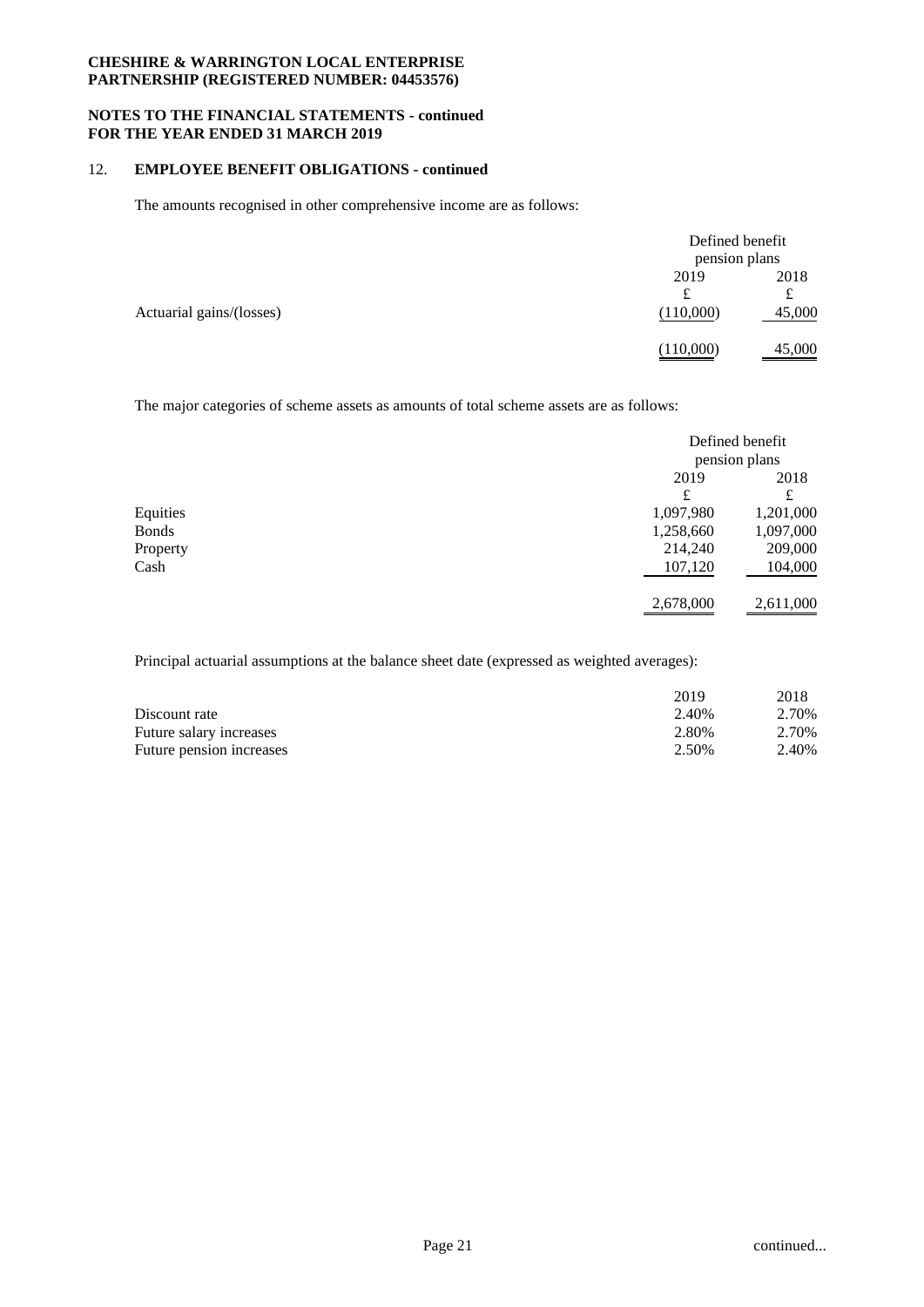### **NOTES TO THE FINANCIAL STATEMENTS - continued FOR THE YEAR ENDED 31 MARCH 2019**

## 12. **EMPLOYEE BENEFIT OBLIGATIONS - continued**

The amounts recognised in other comprehensive income are as follows:

|                          |                | Defined benefit<br>pension plans |  |
|--------------------------|----------------|----------------------------------|--|
|                          | 2019           | 2018                             |  |
| Actuarial gains/(losses) | £<br>(110,000) | £<br>45,000                      |  |
|                          | (110,000)      | 45,000                           |  |

The major categories of scheme assets as amounts of total scheme assets are as follows:

|              |           | Defined benefit<br>pension plans |  |
|--------------|-----------|----------------------------------|--|
|              |           |                                  |  |
|              | 2019      | 2018                             |  |
|              | £         | £                                |  |
| Equities     | 1,097,980 | 1,201,000                        |  |
| <b>Bonds</b> | 1,258,660 | 1,097,000                        |  |
| Property     | 214,240   | 209,000                          |  |
| Cash         | 107,120   | 104,000                          |  |
|              | 2,678,000 | 2,611,000                        |  |

Principal actuarial assumptions at the balance sheet date (expressed as weighted averages):

|                          | 2019  | 2018  |
|--------------------------|-------|-------|
| Discount rate            | 2.40% | 2.70% |
| Future salary increases  | 2.80% | 2.70% |
| Future pension increases | 2.50% | 2.40% |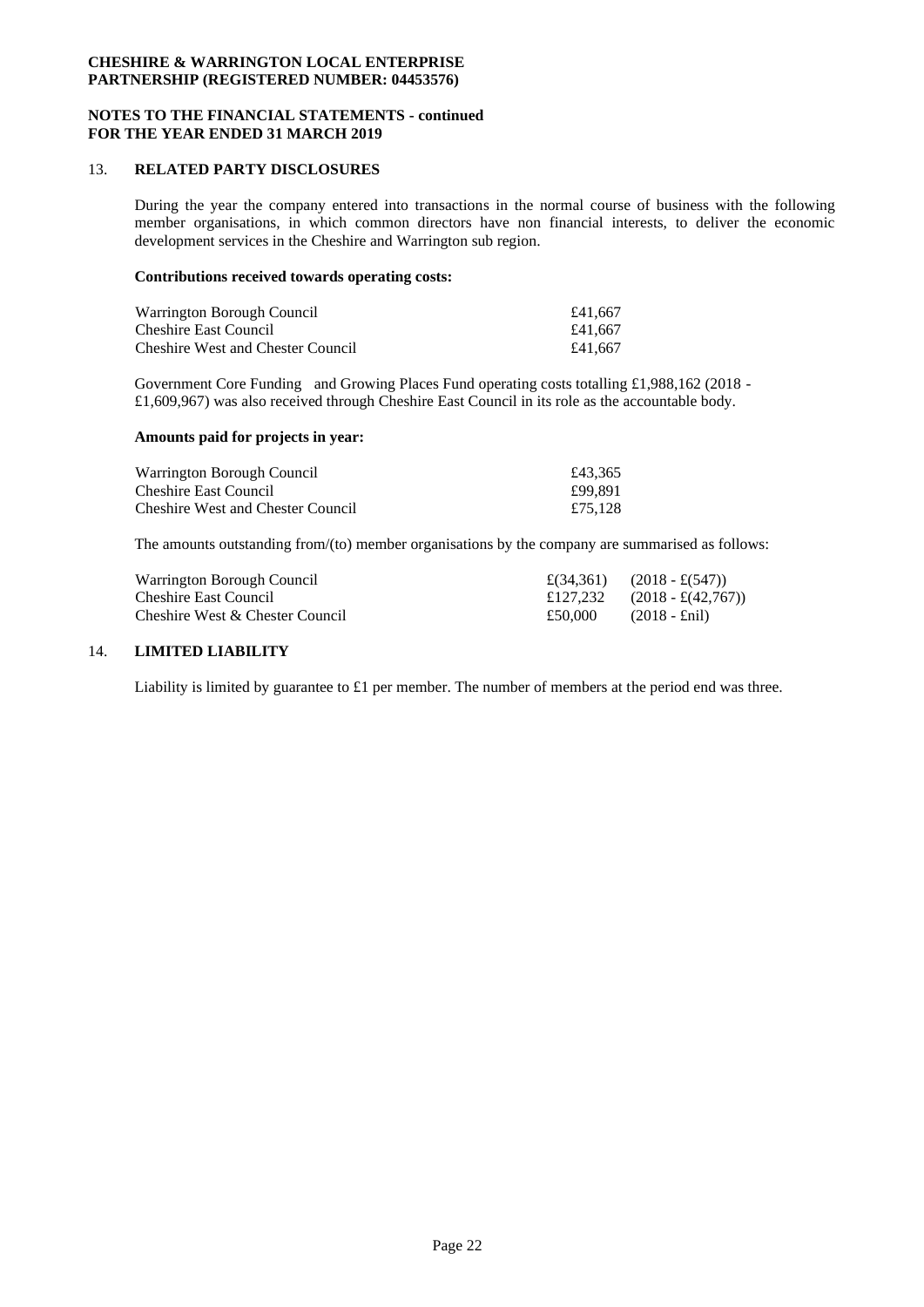### **NOTES TO THE FINANCIAL STATEMENTS - continued FOR THE YEAR ENDED 31 MARCH 2019**

### 13. **RELATED PARTY DISCLOSURES**

During the year the company entered into transactions in the normal course of business with the following member organisations, in which common directors have non financial interests, to deliver the economic development services in the Cheshire and Warrington sub region.

## **Contributions received towards operating costs:**

| Warrington Borough Council               | £41,667 |
|------------------------------------------|---------|
| Cheshire East Council                    | £41,667 |
| <b>Cheshire West and Chester Council</b> | £41.667 |

Government Core Funding and Growing Places Fund operating costs totalling £1,988,162 (2018 -£1,609,967) was also received through Cheshire East Council in its role as the accountable body.

### **Amounts paid for projects in year:**

| Warrington Borough Council               | £43.365 |
|------------------------------------------|---------|
| Cheshire East Council                    | £99.891 |
| <b>Cheshire West and Chester Council</b> | £75.128 |

The amounts outstanding from/(to) member organisations by the company are summarised as follows:

| Warrington Borough Council      |         | $\pounds(34,361)$ $(2018 - \pounds(547))$  |
|---------------------------------|---------|--------------------------------------------|
| Cheshire East Council           |         | £127,232 $(2018 - \text{\pounds}(42,767))$ |
| Cheshire West & Chester Council | £50.000 | $(2018 - \text{Enil})$                     |

## 14. **LIMITED LIABILITY**

Liability is limited by guarantee to £1 per member. The number of members at the period end was three.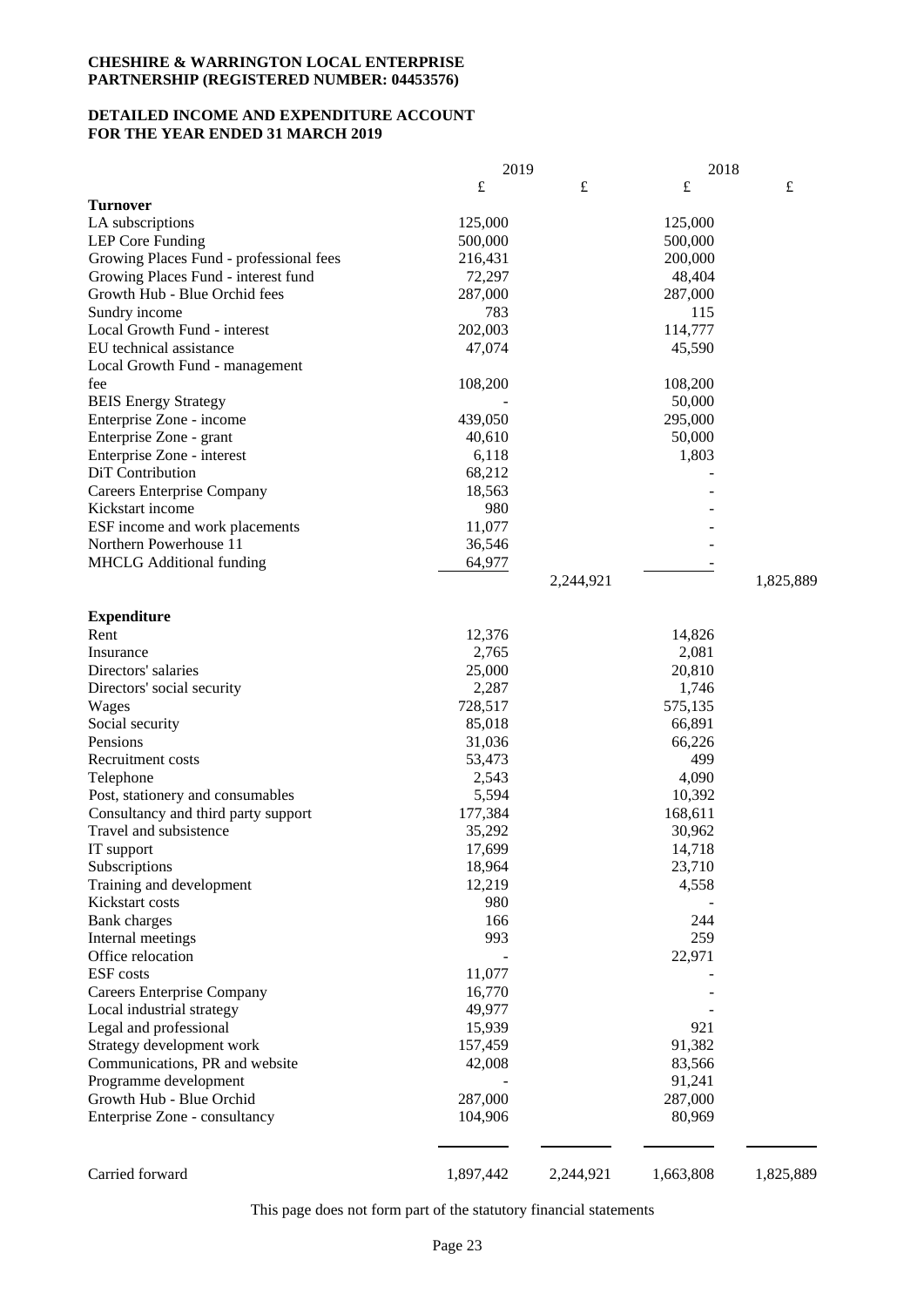## **DETAILED INCOME AND EXPENDITURE ACCOUNT FOR THE YEAR ENDED 31 MARCH 2019**

|                                         | 2019             |           | 2018             |           |
|-----------------------------------------|------------------|-----------|------------------|-----------|
|                                         | $\pounds$        | £         | $\pounds$        | £         |
| Turnover                                |                  |           |                  |           |
| LA subscriptions                        | 125,000          |           | 125,000          |           |
| LEP Core Funding                        | 500,000          |           | 500,000          |           |
| Growing Places Fund - professional fees | 216,431          |           | 200,000          |           |
| Growing Places Fund - interest fund     | 72,297           |           | 48,404           |           |
| Growth Hub - Blue Orchid fees           | 287,000          |           | 287,000          |           |
| Sundry income                           | 783              |           | 115              |           |
| Local Growth Fund - interest            | 202,003          |           | 114,777          |           |
| EU technical assistance                 | 47,074           |           | 45,590           |           |
| Local Growth Fund - management          |                  |           |                  |           |
| fee                                     | 108,200          |           | 108,200          |           |
| <b>BEIS Energy Strategy</b>             |                  |           | 50,000           |           |
| Enterprise Zone - income                | 439,050          |           | 295,000          |           |
| Enterprise Zone - grant                 | 40,610           |           | 50,000           |           |
| Enterprise Zone - interest              | 6,118            |           | 1,803            |           |
| DiT Contribution                        | 68,212           |           |                  |           |
| <b>Careers Enterprise Company</b>       | 18,563           |           |                  |           |
| Kickstart income                        | 980              |           |                  |           |
| ESF income and work placements          | 11,077           |           |                  |           |
| Northern Powerhouse 11                  | 36,546           |           |                  |           |
| <b>MHCLG</b> Additional funding         | 64,977           |           |                  |           |
|                                         |                  | 2,244,921 |                  | 1,825,889 |
| <b>Expenditure</b>                      |                  |           |                  |           |
| Rent                                    | 12,376           |           | 14,826           |           |
| Insurance                               | 2,765            |           | 2,081            |           |
| Directors' salaries                     | 25,000           |           | 20,810           |           |
| Directors' social security              | 2,287            |           | 1,746            |           |
| Wages                                   | 728,517          |           | 575,135          |           |
| Social security                         | 85,018           |           | 66,891           |           |
| Pensions                                | 31,036           |           | 66,226           |           |
| Recruitment costs                       | 53,473           |           | 499              |           |
| Telephone                               | 2,543            |           | 4,090            |           |
| Post, stationery and consumables        | 5,594            |           | 10,392           |           |
| Consultancy and third party support     | 177,384          |           | 168,611          |           |
| Travel and subsistence                  |                  |           | 30,962           |           |
|                                         | 35,292           |           |                  |           |
| IT support                              | 17,699<br>18,964 |           | 14,718<br>23,710 |           |
| Subscriptions                           |                  |           |                  |           |
| Training and development                | 12,219           |           | 4,558            |           |
| Kickstart costs                         | 980              |           |                  |           |
| Bank charges                            | 166              |           | 244              |           |
| Internal meetings                       | 993              |           | 259              |           |
| Office relocation                       |                  |           | 22,971           |           |
| ESF costs                               | 11,077           |           |                  |           |
| <b>Careers Enterprise Company</b>       | 16,770           |           |                  |           |
| Local industrial strategy               | 49,977           |           |                  |           |
| Legal and professional                  | 15,939           |           | 921              |           |
| Strategy development work               | 157,459          |           | 91,382           |           |
| Communications, PR and website          | 42,008           |           | 83,566           |           |
| Programme development                   |                  |           | 91,241           |           |
| Growth Hub - Blue Orchid                | 287,000          |           | 287,000          |           |
| Enterprise Zone - consultancy           | 104,906          |           | 80,969           |           |
|                                         |                  |           |                  |           |
| Carried forward                         | 1,897,442        | 2,244,921 | 1,663,808        | 1,825,889 |

This page does not form part of the statutory financial statements